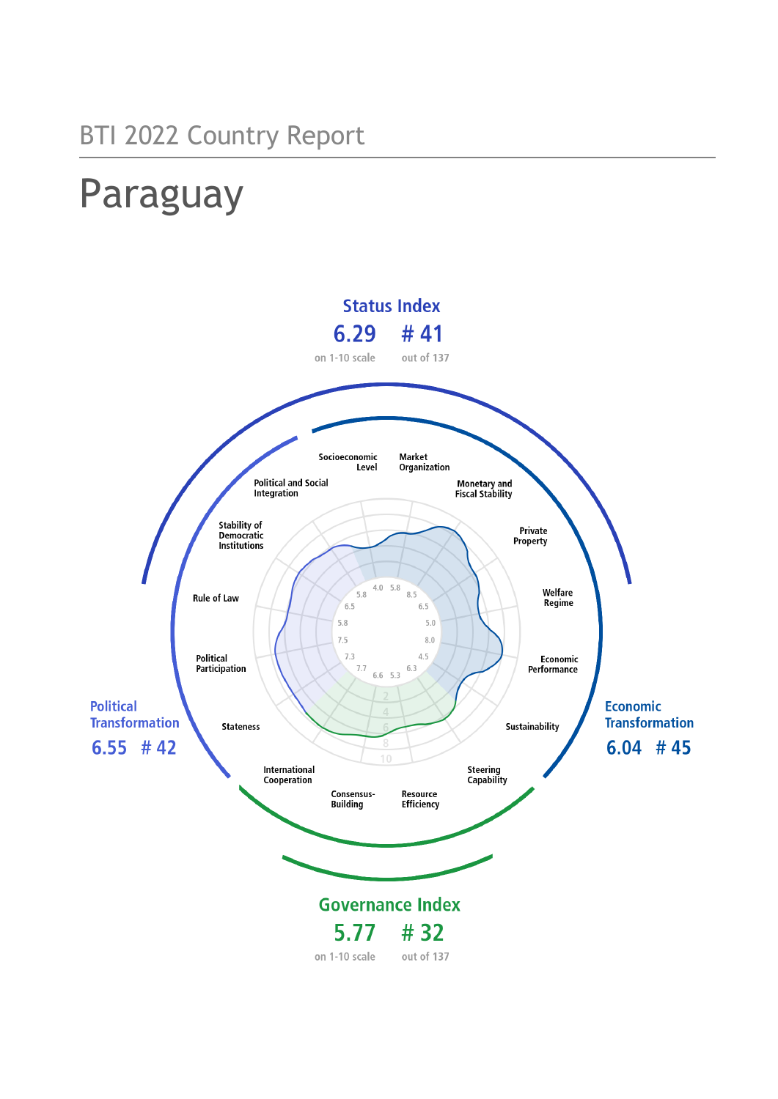# Paraguay

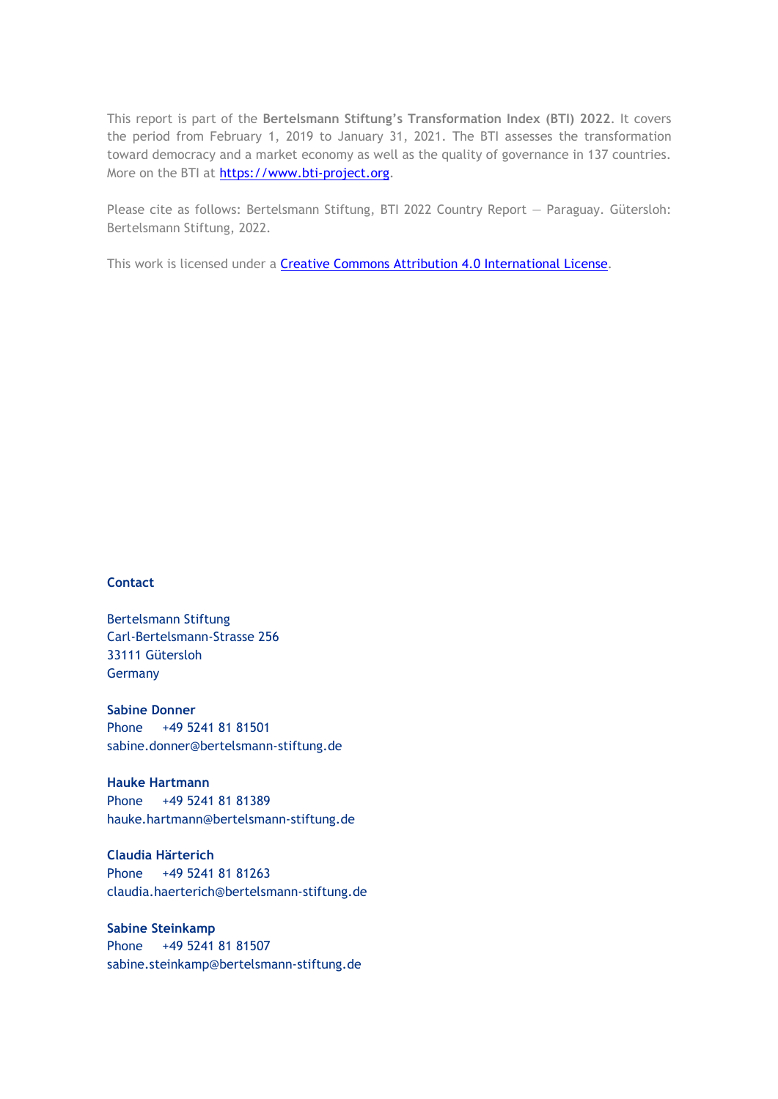This report is part of the **Bertelsmann Stiftung's Transformation Index (BTI) 2022**. It covers the period from February 1, 2019 to January 31, 2021. The BTI assesses the transformation toward democracy and a market economy as well as the quality of governance in 137 countries. More on the BTI at [https://www.bti-project.org.](https://www.bti-project.org/)

Please cite as follows: Bertelsmann Stiftung, BTI 2022 Country Report — Paraguay. Gütersloh: Bertelsmann Stiftung, 2022.

This work is licensed under a **Creative Commons Attribution 4.0 International License**.

#### **Contact**

Bertelsmann Stiftung Carl-Bertelsmann-Strasse 256 33111 Gütersloh Germany

**Sabine Donner** Phone +49 5241 81 81501 sabine.donner@bertelsmann-stiftung.de

**Hauke Hartmann** Phone +49 5241 81 81389 hauke.hartmann@bertelsmann-stiftung.de

**Claudia Härterich** Phone +49 5241 81 81263 claudia.haerterich@bertelsmann-stiftung.de

#### **Sabine Steinkamp** Phone +49 5241 81 81507 sabine.steinkamp@bertelsmann-stiftung.de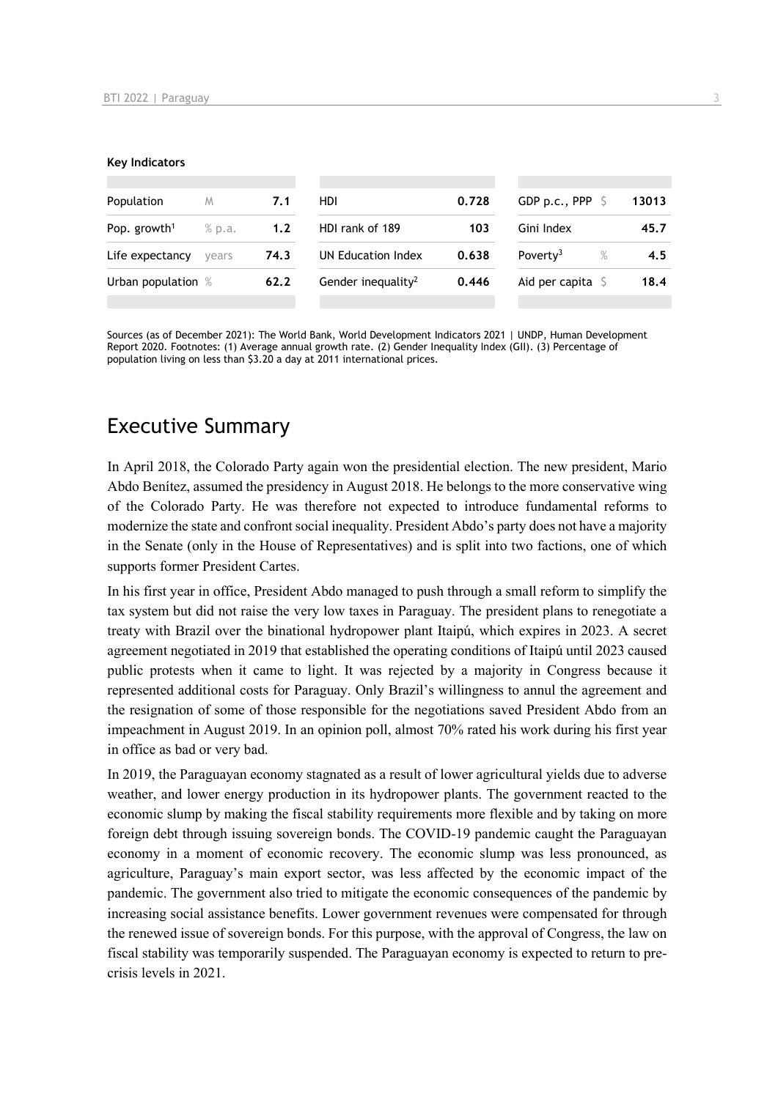#### **Key Indicators**

| Population               | M      | 7.1  | HDI.                           | 0.728 | GDP p.c., PPP $\ S$          | 13013 |
|--------------------------|--------|------|--------------------------------|-------|------------------------------|-------|
| Pop. growth <sup>1</sup> | % p.a. | 1.2  | HDI rank of 189                | 103   | Gini Index                   | 45.7  |
| Life expectancy          | vears  | 74.3 | UN Education Index             | 0.638 | Poverty <sup>3</sup><br>$\%$ | 4.5   |
| Urban population %       |        | 62.2 | Gender inequality <sup>2</sup> | 0.446 | Aid per capita $\sqrt{5}$    | 18.4  |
|                          |        |      |                                |       |                              |       |

Sources (as of December 2021): The World Bank, World Development Indicators 2021 | UNDP, Human Development Report 2020. Footnotes: (1) Average annual growth rate. (2) Gender Inequality Index (GII). (3) Percentage of population living on less than \$3.20 a day at 2011 international prices.

### Executive Summary

In April 2018, the Colorado Party again won the presidential election. The new president, Mario Abdo Benítez, assumed the presidency in August 2018. He belongs to the more conservative wing of the Colorado Party. He was therefore not expected to introduce fundamental reforms to modernize the state and confront social inequality. President Abdo's party does not have a majority in the Senate (only in the House of Representatives) and is split into two factions, one of which supports former President Cartes.

In his first year in office, President Abdo managed to push through a small reform to simplify the tax system but did not raise the very low taxes in Paraguay. The president plans to renegotiate a treaty with Brazil over the binational hydropower plant Itaipú, which expires in 2023. A secret agreement negotiated in 2019 that established the operating conditions of Itaipú until 2023 caused public protests when it came to light. It was rejected by a majority in Congress because it represented additional costs for Paraguay. Only Brazil's willingness to annul the agreement and the resignation of some of those responsible for the negotiations saved President Abdo from an impeachment in August 2019. In an opinion poll, almost 70% rated his work during his first year in office as bad or very bad.

In 2019, the Paraguayan economy stagnated as a result of lower agricultural yields due to adverse weather, and lower energy production in its hydropower plants. The government reacted to the economic slump by making the fiscal stability requirements more flexible and by taking on more foreign debt through issuing sovereign bonds. The COVID-19 pandemic caught the Paraguayan economy in a moment of economic recovery. The economic slump was less pronounced, as agriculture, Paraguay's main export sector, was less affected by the economic impact of the pandemic. The government also tried to mitigate the economic consequences of the pandemic by increasing social assistance benefits. Lower government revenues were compensated for through the renewed issue of sovereign bonds. For this purpose, with the approval of Congress, the law on fiscal stability was temporarily suspended. The Paraguayan economy is expected to return to precrisis levels in 2021.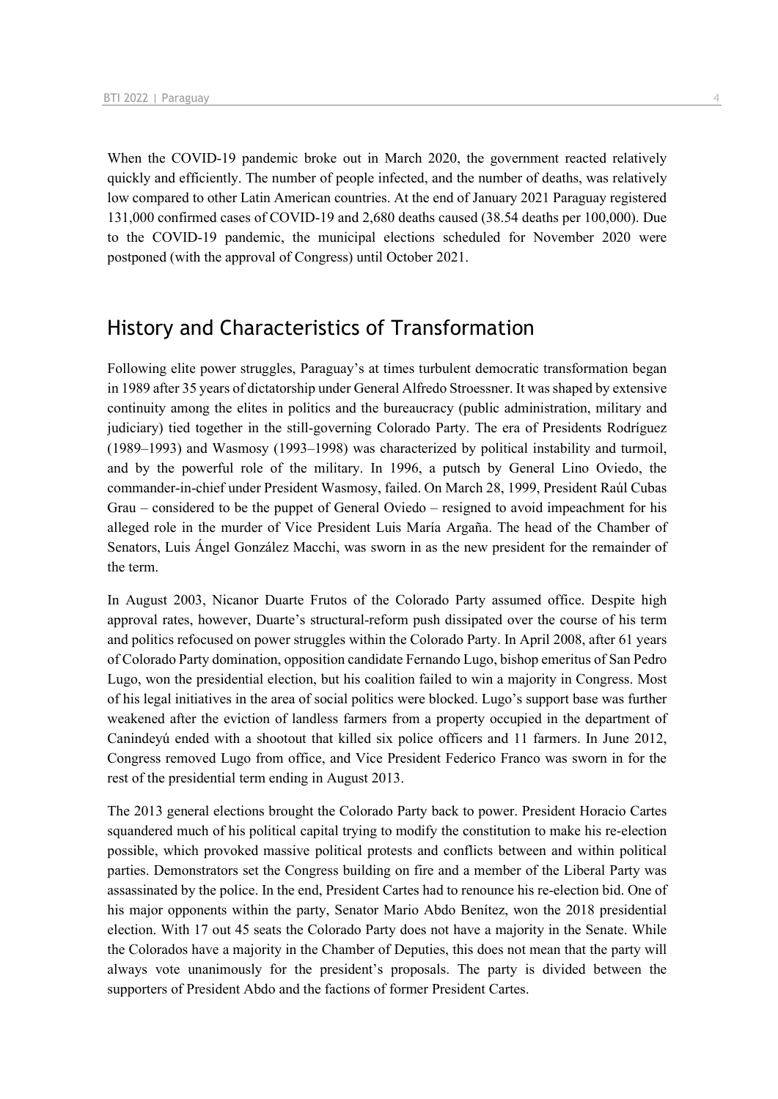When the COVID-19 pandemic broke out in March 2020, the government reacted relatively quickly and efficiently. The number of people infected, and the number of deaths, was relatively low compared to other Latin American countries. At the end of January 2021 Paraguay registered 131,000 confirmed cases of COVID-19 and 2,680 deaths caused (38.54 deaths per 100,000). Due to the COVID-19 pandemic, the municipal elections scheduled for November 2020 were postponed (with the approval of Congress) until October 2021.

### History and Characteristics of Transformation

Following elite power struggles, Paraguay's at times turbulent democratic transformation began in 1989 after 35 years of dictatorship under General Alfredo Stroessner. It was shaped by extensive continuity among the elites in politics and the bureaucracy (public administration, military and judiciary) tied together in the still-governing Colorado Party. The era of Presidents Rodríguez (1989–1993) and Wasmosy (1993–1998) was characterized by political instability and turmoil, and by the powerful role of the military. In 1996, a putsch by General Lino Oviedo, the commander-in-chief under President Wasmosy, failed. On March 28, 1999, President Raúl Cubas Grau – considered to be the puppet of General Oviedo – resigned to avoid impeachment for his alleged role in the murder of Vice President Luis María Argaña. The head of the Chamber of Senators, Luis Ángel González Macchi, was sworn in as the new president for the remainder of the term.

In August 2003, Nicanor Duarte Frutos of the Colorado Party assumed office. Despite high approval rates, however, Duarte's structural-reform push dissipated over the course of his term and politics refocused on power struggles within the Colorado Party. In April 2008, after 61 years of Colorado Party domination, opposition candidate Fernando Lugo, bishop emeritus of San Pedro Lugo, won the presidential election, but his coalition failed to win a majority in Congress. Most of his legal initiatives in the area of social politics were blocked. Lugo's support base was further weakened after the eviction of landless farmers from a property occupied in the department of Canindeyú ended with a shootout that killed six police officers and 11 farmers. In June 2012, Congress removed Lugo from office, and Vice President Federico Franco was sworn in for the rest of the presidential term ending in August 2013.

The 2013 general elections brought the Colorado Party back to power. President Horacio Cartes squandered much of his political capital trying to modify the constitution to make his re-election possible, which provoked massive political protests and conflicts between and within political parties. Demonstrators set the Congress building on fire and a member of the Liberal Party was assassinated by the police. In the end, President Cartes had to renounce his re-election bid. One of his major opponents within the party, Senator Mario Abdo Benítez, won the 2018 presidential election. With 17 out 45 seats the Colorado Party does not have a majority in the Senate. While the Colorados have a majority in the Chamber of Deputies, this does not mean that the party will always vote unanimously for the president's proposals. The party is divided between the supporters of President Abdo and the factions of former President Cartes.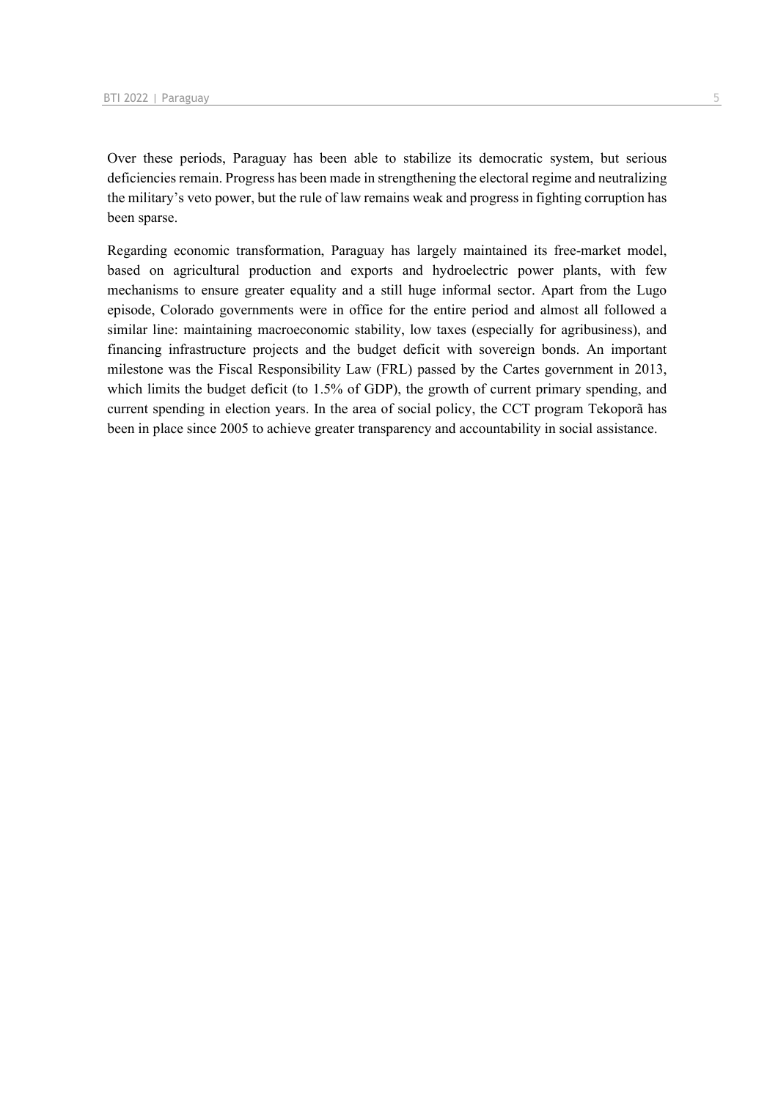Over these periods, Paraguay has been able to stabilize its democratic system, but serious deficiencies remain. Progress has been made in strengthening the electoral regime and neutralizing the military's veto power, but the rule of law remains weak and progress in fighting corruption has been sparse.

Regarding economic transformation, Paraguay has largely maintained its free-market model, based on agricultural production and exports and hydroelectric power plants, with few mechanisms to ensure greater equality and a still huge informal sector. Apart from the Lugo episode, Colorado governments were in office for the entire period and almost all followed a similar line: maintaining macroeconomic stability, low taxes (especially for agribusiness), and financing infrastructure projects and the budget deficit with sovereign bonds. An important milestone was the Fiscal Responsibility Law (FRL) passed by the Cartes government in 2013, which limits the budget deficit (to 1.5% of GDP), the growth of current primary spending, and current spending in election years. In the area of social policy, the CCT program Tekoporã has been in place since 2005 to achieve greater transparency and accountability in social assistance.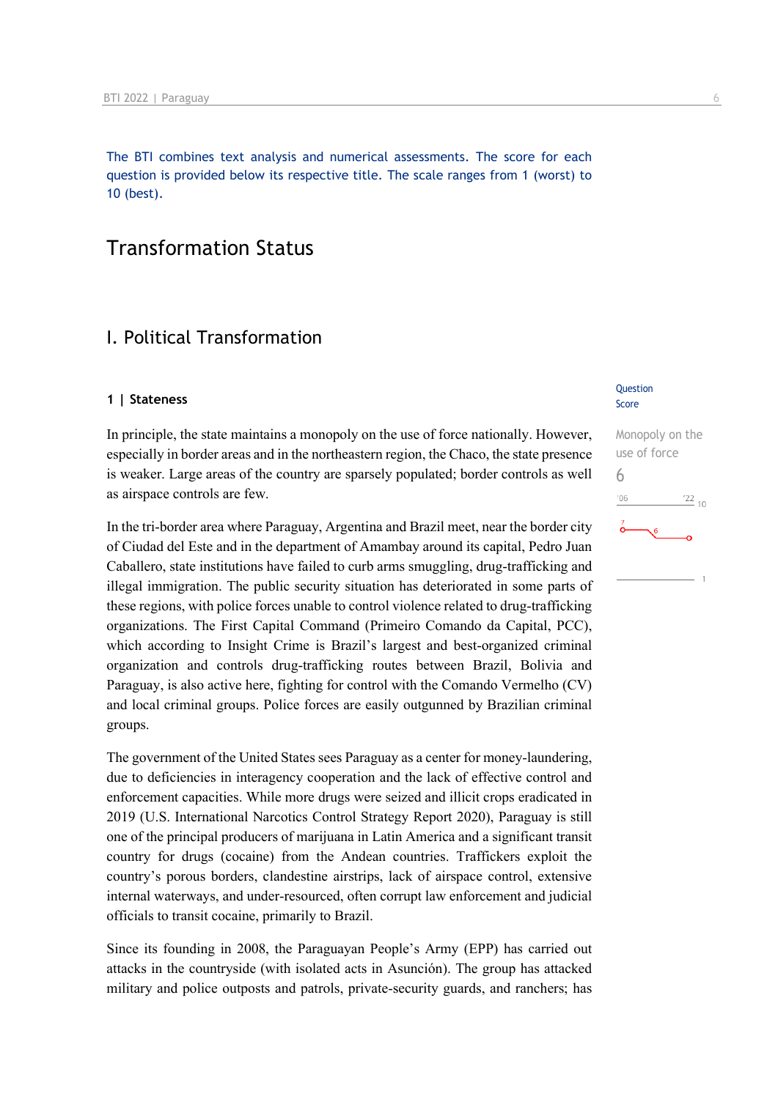The BTI combines text analysis and numerical assessments. The score for each question is provided below its respective title. The scale ranges from 1 (worst) to 10 (best).

### Transformation Status

### I. Political Transformation

#### **1 | Stateness**

In principle, the state maintains a monopoly on the use of force nationally. However, especially in border areas and in the northeastern region, the Chaco, the state presence is weaker. Large areas of the country are sparsely populated; border controls as well as airspace controls are few.

In the tri-border area where Paraguay, Argentina and Brazil meet, near the border city of Ciudad del Este and in the department of Amambay around its capital, Pedro Juan Caballero, state institutions have failed to curb arms smuggling, drug-trafficking and illegal immigration. The public security situation has deteriorated in some parts of these regions, with police forces unable to control violence related to drug-trafficking organizations. The First Capital Command (Primeiro Comando da Capital, PCC), which according to Insight Crime is Brazil's largest and best-organized criminal organization and controls drug-trafficking routes between Brazil, Bolivia and Paraguay, is also active here, fighting for control with the Comando Vermelho (CV) and local criminal groups. Police forces are easily outgunned by Brazilian criminal groups.

The government of the United States sees Paraguay as a center for money-laundering, due to deficiencies in interagency cooperation and the lack of effective control and enforcement capacities. While more drugs were seized and illicit crops eradicated in 2019 (U.S. International Narcotics Control Strategy Report 2020), Paraguay is still one of the principal producers of marijuana in Latin America and a significant transit country for drugs (cocaine) from the Andean countries. Traffickers exploit the country's porous borders, clandestine airstrips, lack of airspace control, extensive internal waterways, and under-resourced, often corrupt law enforcement and judicial officials to transit cocaine, primarily to Brazil.

Since its founding in 2008, the Paraguayan People's Army (EPP) has carried out attacks in the countryside (with isolated acts in Asunción). The group has attacked military and police outposts and patrols, private-security guards, and ranchers; has

#### Question Score

### Monopoly on the use of force 6 $^{\prime}06$  $\frac{22}{10}$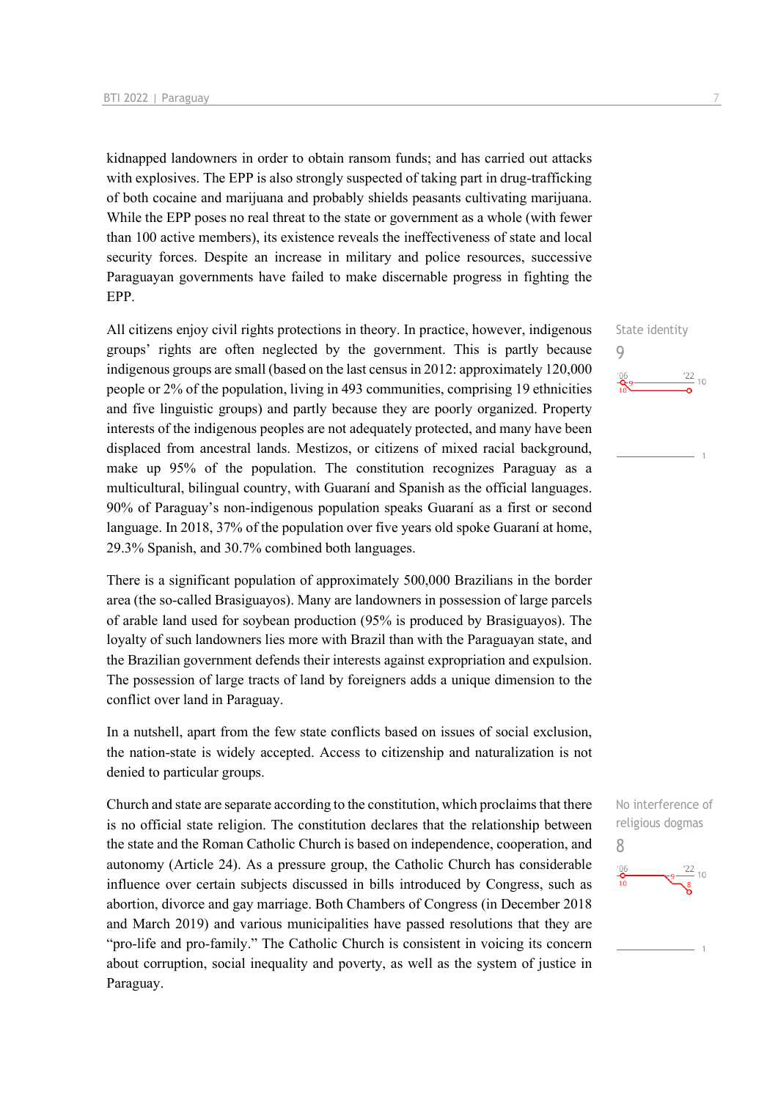kidnapped landowners in order to obtain ransom funds; and has carried out attacks with explosives. The EPP is also strongly suspected of taking part in drug-trafficking of both cocaine and marijuana and probably shields peasants cultivating marijuana. While the EPP poses no real threat to the state or government as a whole (with fewer than 100 active members), its existence reveals the ineffectiveness of state and local security forces. Despite an increase in military and police resources, successive Paraguayan governments have failed to make discernable progress in fighting the EPP.

All citizens enjoy civil rights protections in theory. In practice, however, indigenous groups' rights are often neglected by the government. This is partly because indigenous groups are small (based on the last census in 2012: approximately 120,000 people or 2% of the population, living in 493 communities, comprising 19 ethnicities and five linguistic groups) and partly because they are poorly organized. Property interests of the indigenous peoples are not adequately protected, and many have been displaced from ancestral lands. Mestizos, or citizens of mixed racial background, make up 95% of the population. The constitution recognizes Paraguay as a multicultural, bilingual country, with Guaraní and Spanish as the official languages. 90% of Paraguay's non-indigenous population speaks Guaraní as a first or second language. In 2018, 37% of the population over five years old spoke Guaraní at home, 29.3% Spanish, and 30.7% combined both languages.

There is a significant population of approximately 500,000 Brazilians in the border area (the so-called Brasiguayos). Many are landowners in possession of large parcels of arable land used for soybean production (95% is produced by Brasiguayos). The loyalty of such landowners lies more with Brazil than with the Paraguayan state, and the Brazilian government defends their interests against expropriation and expulsion. The possession of large tracts of land by foreigners adds a unique dimension to the conflict over land in Paraguay.

In a nutshell, apart from the few state conflicts based on issues of social exclusion, the nation-state is widely accepted. Access to citizenship and naturalization is not denied to particular groups.

Church and state are separate according to the constitution, which proclaims that there is no official state religion. The constitution declares that the relationship between the state and the Roman Catholic Church is based on independence, cooperation, and autonomy (Article 24). As a pressure group, the Catholic Church has considerable influence over certain subjects discussed in bills introduced by Congress, such as abortion, divorce and gay marriage. Both Chambers of Congress (in December 2018 and March 2019) and various municipalities have passed resolutions that they are "pro-life and pro-family." The Catholic Church is consistent in voicing its concern about corruption, social inequality and poverty, as well as the system of justice in Paraguay.



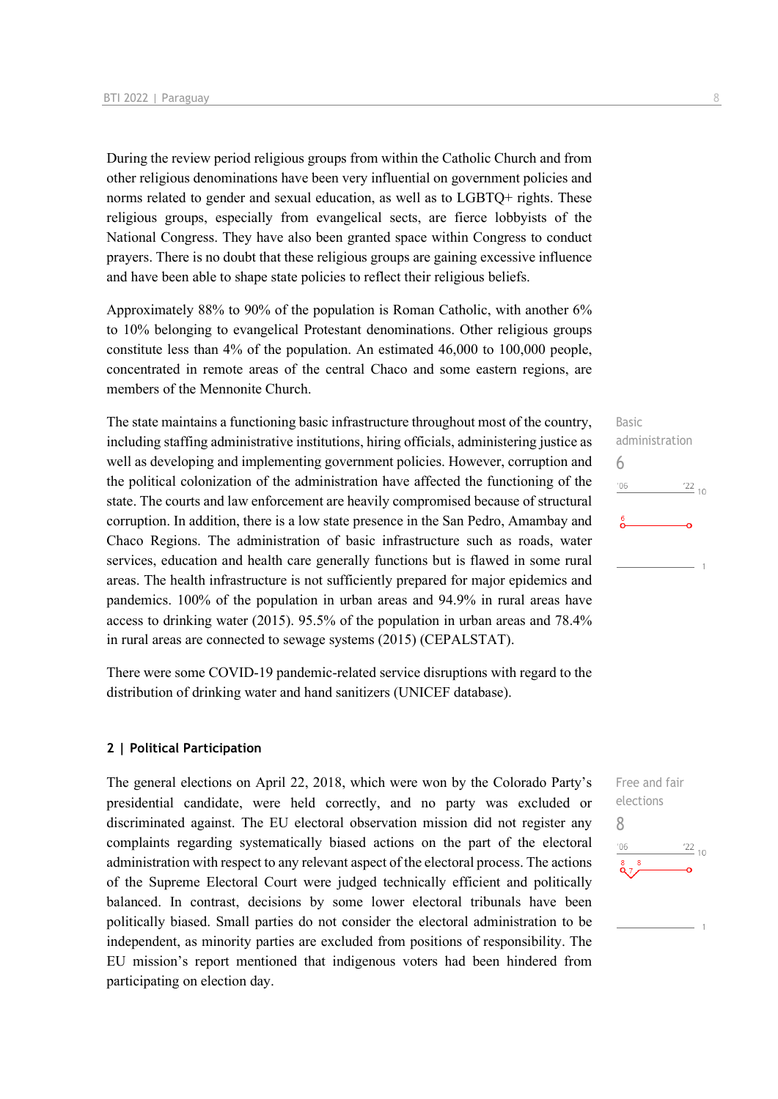During the review period religious groups from within the Catholic Church and from other religious denominations have been very influential on government policies and norms related to gender and sexual education, as well as to LGBTQ+ rights. These religious groups, especially from evangelical sects, are fierce lobbyists of the National Congress. They have also been granted space within Congress to conduct prayers. There is no doubt that these religious groups are gaining excessive influence and have been able to shape state policies to reflect their religious beliefs.

Approximately 88% to 90% of the population is Roman Catholic, with another 6% to 10% belonging to evangelical Protestant denominations. Other religious groups constitute less than 4% of the population. An estimated 46,000 to 100,000 people, concentrated in remote areas of the central Chaco and some eastern regions, are members of the Mennonite Church.

The state maintains a functioning basic infrastructure throughout most of the country, including staffing administrative institutions, hiring officials, administering justice as well as developing and implementing government policies. However, corruption and the political colonization of the administration have affected the functioning of the state. The courts and law enforcement are heavily compromised because of structural corruption. In addition, there is a low state presence in the San Pedro, Amambay and Chaco Regions. The administration of basic infrastructure such as roads, water services, education and health care generally functions but is flawed in some rural areas. The health infrastructure is not sufficiently prepared for major epidemics and pandemics. 100% of the population in urban areas and 94.9% in rural areas have access to drinking water (2015). 95.5% of the population in urban areas and 78.4% in rural areas are connected to sewage systems (2015) (CEPALSTAT).

There were some COVID-19 pandemic-related service disruptions with regard to the distribution of drinking water and hand sanitizers (UNICEF database).

#### **2 | Political Participation**

The general elections on April 22, 2018, which were won by the Colorado Party's presidential candidate, were held correctly, and no party was excluded or discriminated against. The EU electoral observation mission did not register any complaints regarding systematically biased actions on the part of the electoral administration with respect to any relevant aspect of the electoral process. The actions of the Supreme Electoral Court were judged technically efficient and politically balanced. In contrast, decisions by some lower electoral tribunals have been politically biased. Small parties do not consider the electoral administration to be independent, as minority parties are excluded from positions of responsibility. The EU mission's report mentioned that indigenous voters had been hindered from participating on election day.



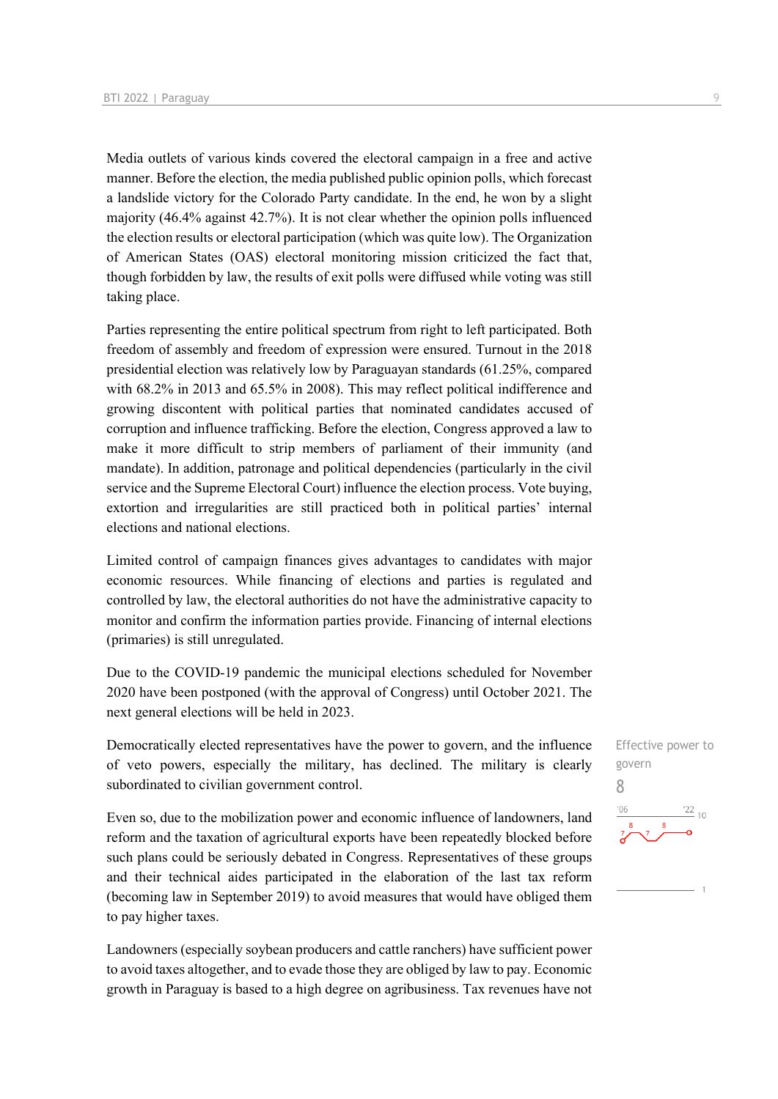Media outlets of various kinds covered the electoral campaign in a free and active manner. Before the election, the media published public opinion polls, which forecast a landslide victory for the Colorado Party candidate. In the end, he won by a slight majority (46.4% against 42.7%). It is not clear whether the opinion polls influenced the election results or electoral participation (which was quite low). The Organization of American States (OAS) electoral monitoring mission criticized the fact that, though forbidden by law, the results of exit polls were diffused while voting was still taking place.

Parties representing the entire political spectrum from right to left participated. Both freedom of assembly and freedom of expression were ensured. Turnout in the 2018 presidential election was relatively low by Paraguayan standards (61.25%, compared with 68.2% in 2013 and 65.5% in 2008). This may reflect political indifference and growing discontent with political parties that nominated candidates accused of corruption and influence trafficking. Before the election, Congress approved a law to make it more difficult to strip members of parliament of their immunity (and mandate). In addition, patronage and political dependencies (particularly in the civil service and the Supreme Electoral Court) influence the election process. Vote buying, extortion and irregularities are still practiced both in political parties' internal elections and national elections.

Limited control of campaign finances gives advantages to candidates with major economic resources. While financing of elections and parties is regulated and controlled by law, the electoral authorities do not have the administrative capacity to monitor and confirm the information parties provide. Financing of internal elections (primaries) is still unregulated.

Due to the COVID-19 pandemic the municipal elections scheduled for November 2020 have been postponed (with the approval of Congress) until October 2021. The next general elections will be held in 2023.

Democratically elected representatives have the power to govern, and the influence of veto powers, especially the military, has declined. The military is clearly subordinated to civilian government control.

Even so, due to the mobilization power and economic influence of landowners, land reform and the taxation of agricultural exports have been repeatedly blocked before such plans could be seriously debated in Congress. Representatives of these groups and their technical aides participated in the elaboration of the last tax reform (becoming law in September 2019) to avoid measures that would have obliged them to pay higher taxes.

Landowners (especially soybean producers and cattle ranchers) have sufficient power to avoid taxes altogether, and to evade those they are obliged by law to pay. Economic growth in Paraguay is based to a high degree on agribusiness. Tax revenues have not Effective power to govern 8 $\frac{22}{10}$  $^{\prime}$ OF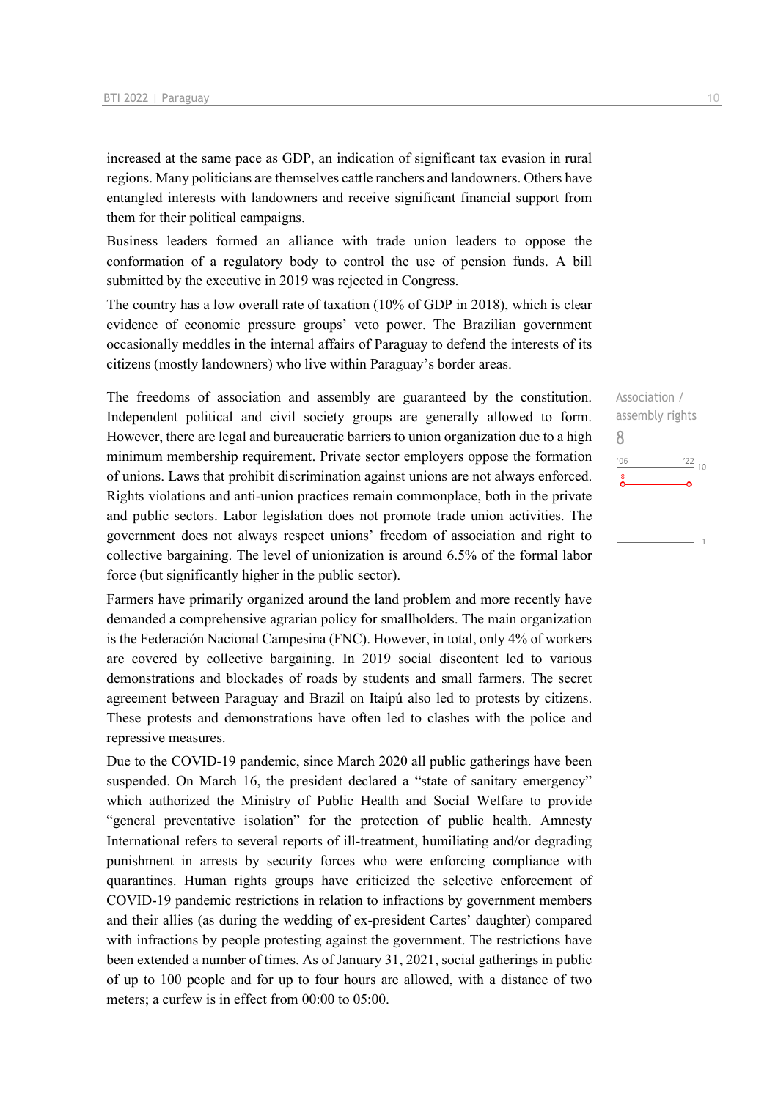increased at the same pace as GDP, an indication of significant tax evasion in rural regions. Many politicians are themselves cattle ranchers and landowners. Others have entangled interests with landowners and receive significant financial support from them for their political campaigns.

Business leaders formed an alliance with trade union leaders to oppose the conformation of a regulatory body to control the use of pension funds. A bill submitted by the executive in 2019 was rejected in Congress.

The country has a low overall rate of taxation (10% of GDP in 2018), which is clear evidence of economic pressure groups' veto power. The Brazilian government occasionally meddles in the internal affairs of Paraguay to defend the interests of its citizens (mostly landowners) who live within Paraguay's border areas.

The freedoms of association and assembly are guaranteed by the constitution. Independent political and civil society groups are generally allowed to form. However, there are legal and bureaucratic barriers to union organization due to a high minimum membership requirement. Private sector employers oppose the formation of unions. Laws that prohibit discrimination against unions are not always enforced. Rights violations and anti-union practices remain commonplace, both in the private and public sectors. Labor legislation does not promote trade union activities. The government does not always respect unions' freedom of association and right to collective bargaining. The level of unionization is around 6.5% of the formal labor force (but significantly higher in the public sector).

Farmers have primarily organized around the land problem and more recently have demanded a comprehensive agrarian policy for smallholders. The main organization is the Federación Nacional Campesina (FNC). However, in total, only 4% of workers are covered by collective bargaining. In 2019 social discontent led to various demonstrations and blockades of roads by students and small farmers. The secret agreement between Paraguay and Brazil on Itaipú also led to protests by citizens. These protests and demonstrations have often led to clashes with the police and repressive measures.

Due to the COVID-19 pandemic, since March 2020 all public gatherings have been suspended. On March 16, the president declared a "state of sanitary emergency" which authorized the Ministry of Public Health and Social Welfare to provide "general preventative isolation" for the protection of public health. Amnesty International refers to several reports of ill-treatment, humiliating and/or degrading punishment in arrests by security forces who were enforcing compliance with quarantines. Human rights groups have criticized the selective enforcement of COVID-19 pandemic restrictions in relation to infractions by government members and their allies (as during the wedding of ex-president Cartes' daughter) compared with infractions by people protesting against the government. The restrictions have been extended a number of times. As of January 31, 2021, social gatherings in public of up to 100 people and for up to four hours are allowed, with a distance of two meters; a curfew is in effect from 00:00 to 05:00.

Association / assembly rights 8 $-06$  $\frac{22}{10}$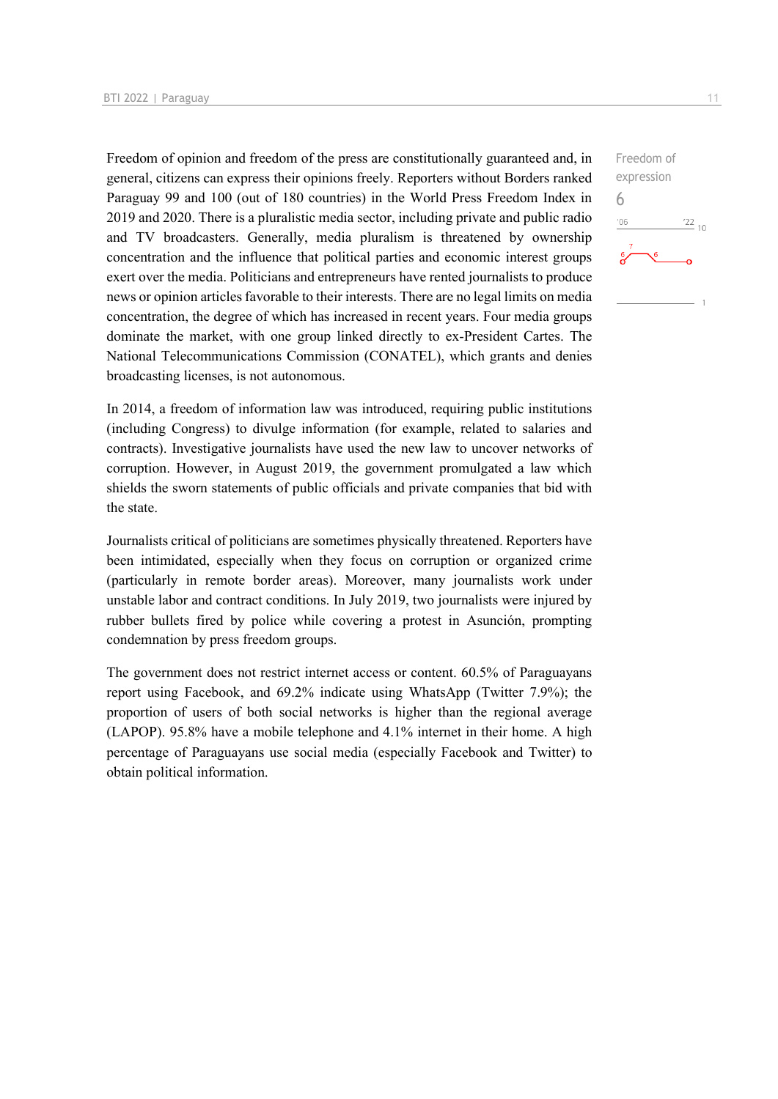Freedom of opinion and freedom of the press are constitutionally guaranteed and, in general, citizens can express their opinions freely. Reporters without Borders ranked Paraguay 99 and 100 (out of 180 countries) in the World Press Freedom Index in 2019 and 2020. There is a pluralistic media sector, including private and public radio and TV broadcasters. Generally, media pluralism is threatened by ownership concentration and the influence that political parties and economic interest groups exert over the media. Politicians and entrepreneurs have rented journalists to produce news or opinion articles favorable to their interests. There are no legal limits on media concentration, the degree of which has increased in recent years. Four media groups dominate the market, with one group linked directly to ex-President Cartes. The National Telecommunications Commission (CONATEL), which grants and denies broadcasting licenses, is not autonomous.

In 2014, a freedom of information law was introduced, requiring public institutions (including Congress) to divulge information (for example, related to salaries and contracts). Investigative journalists have used the new law to uncover networks of corruption. However, in August 2019, the government promulgated a law which shields the sworn statements of public officials and private companies that bid with the state.

Journalists critical of politicians are sometimes physically threatened. Reporters have been intimidated, especially when they focus on corruption or organized crime (particularly in remote border areas). Moreover, many journalists work under unstable labor and contract conditions. In July 2019, two journalists were injured by rubber bullets fired by police while covering a protest in Asunción, prompting condemnation by press freedom groups.

The government does not restrict internet access or content. 60.5% of Paraguayans report using Facebook, and 69.2% indicate using WhatsApp (Twitter 7.9%); the proportion of users of both social networks is higher than the regional average (LAPOP). 95.8% have a mobile telephone and 4.1% internet in their home. A high percentage of Paraguayans use social media (especially Facebook and Twitter) to obtain political information.

Freedom of expression 6 $-06$  $^{22}$  10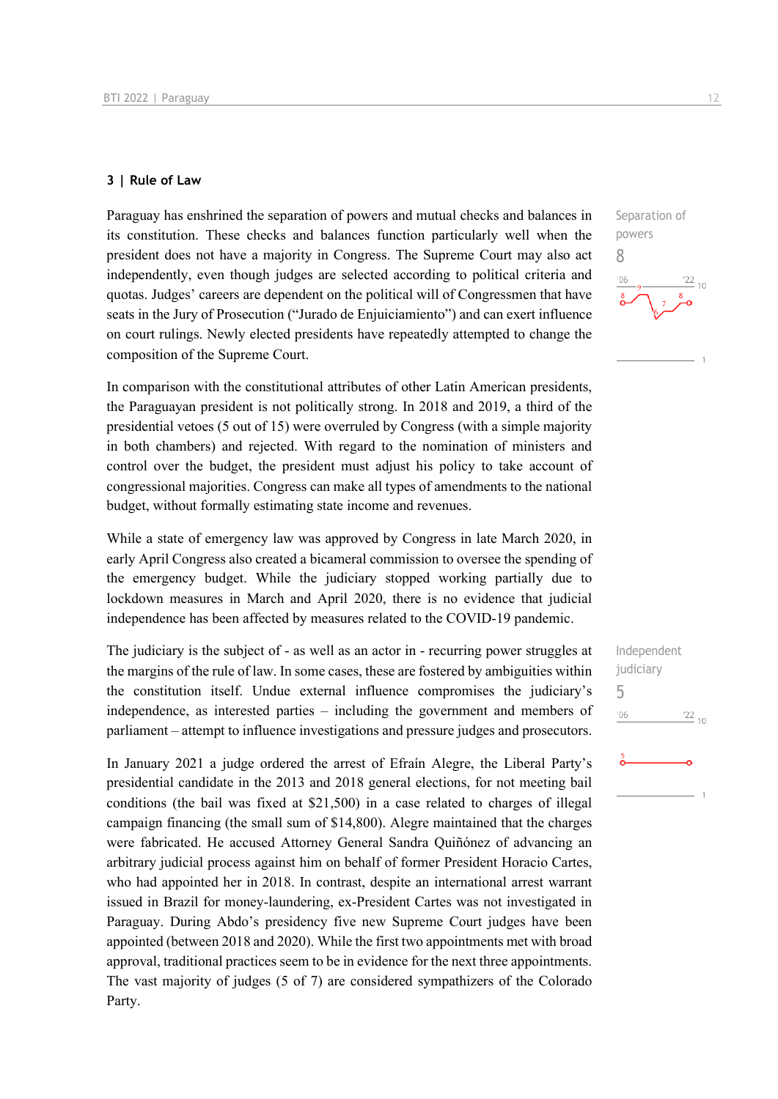#### **3 | Rule of Law**

Paraguay has enshrined the separation of powers and mutual checks and balances in its constitution. These checks and balances function particularly well when the president does not have a majority in Congress. The Supreme Court may also act independently, even though judges are selected according to political criteria and quotas. Judges' careers are dependent on the political will of Congressmen that have seats in the Jury of Prosecution ("Jurado de Enjuiciamiento") and can exert influence on court rulings. Newly elected presidents have repeatedly attempted to change the composition of the Supreme Court.

In comparison with the constitutional attributes of other Latin American presidents, the Paraguayan president is not politically strong. In 2018 and 2019, a third of the presidential vetoes (5 out of 15) were overruled by Congress (with a simple majority in both chambers) and rejected. With regard to the nomination of ministers and control over the budget, the president must adjust his policy to take account of congressional majorities. Congress can make all types of amendments to the national budget, without formally estimating state income and revenues.

While a state of emergency law was approved by Congress in late March 2020, in early April Congress also created a bicameral commission to oversee the spending of the emergency budget. While the judiciary stopped working partially due to lockdown measures in March and April 2020, there is no evidence that judicial independence has been affected by measures related to the COVID-19 pandemic.

The judiciary is the subject of - as well as an actor in - recurring power struggles at the margins of the rule of law. In some cases, these are fostered by ambiguities within the constitution itself. Undue external influence compromises the judiciary's independence, as interested parties – including the government and members of parliament – attempt to influence investigations and pressure judges and prosecutors.

In January 2021 a judge ordered the arrest of Efraín Alegre, the Liberal Party's presidential candidate in the 2013 and 2018 general elections, for not meeting bail conditions (the bail was fixed at \$21,500) in a case related to charges of illegal campaign financing (the small sum of \$14,800). Alegre maintained that the charges were fabricated. He accused Attorney General Sandra Quiñónez of advancing an arbitrary judicial process against him on behalf of former President Horacio Cartes, who had appointed her in 2018. In contrast, despite an international arrest warrant issued in Brazil for money-laundering, ex-President Cartes was not investigated in Paraguay. During Abdo's presidency five new Supreme Court judges have been appointed (between 2018 and 2020). While the first two appointments met with broad approval, traditional practices seem to be in evidence for the next three appointments. The vast majority of judges (5 of 7) are considered sympathizers of the Colorado Party.



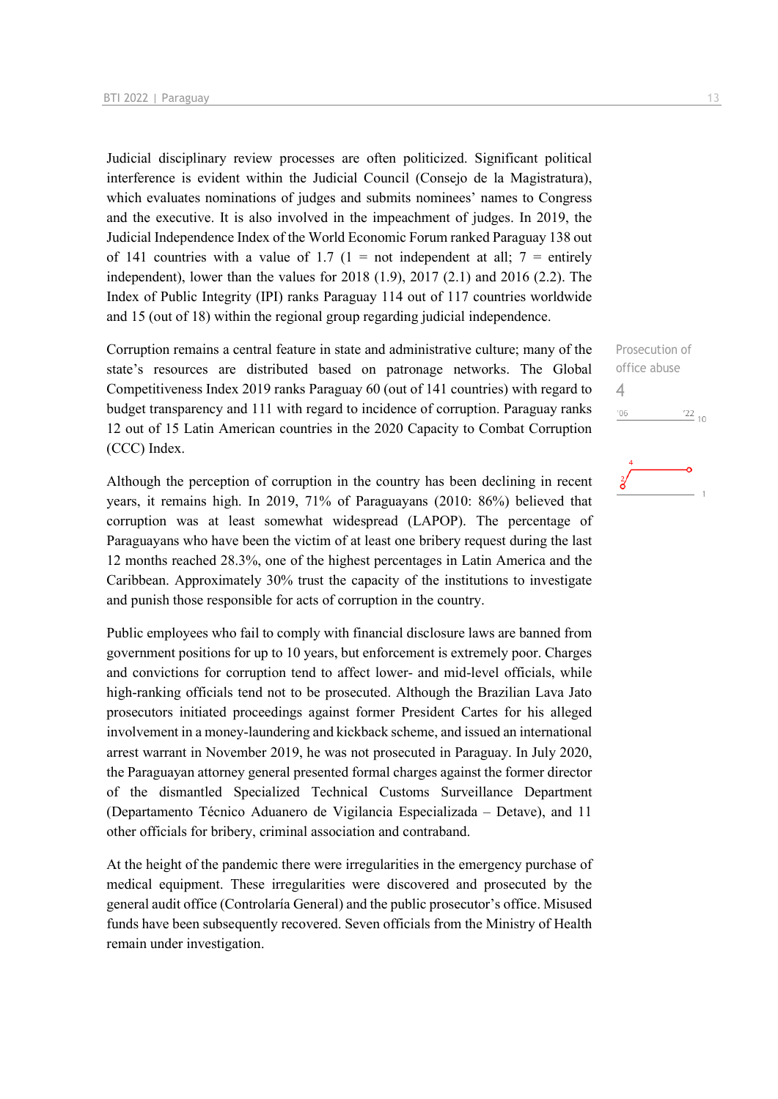Judicial disciplinary review processes are often politicized. Significant political interference is evident within the Judicial Council (Consejo de la Magistratura), which evaluates nominations of judges and submits nominees' names to Congress and the executive. It is also involved in the impeachment of judges. In 2019, the Judicial Independence Index of the World Economic Forum ranked Paraguay 138 out of 141 countries with a value of 1.7 (1 = not independent at all; 7 = entirely independent), lower than the values for 2018 (1.9), 2017 (2.1) and 2016 (2.2). The Index of Public Integrity (IPI) ranks Paraguay 114 out of 117 countries worldwide and 15 (out of 18) within the regional group regarding judicial independence.

Corruption remains a central feature in state and administrative culture; many of the state's resources are distributed based on patronage networks. The Global Competitiveness Index 2019 ranks Paraguay 60 (out of 141 countries) with regard to budget transparency and 111 with regard to incidence of corruption. Paraguay ranks 12 out of 15 Latin American countries in the 2020 Capacity to Combat Corruption (CCC) Index.

Although the perception of corruption in the country has been declining in recent years, it remains high. In 2019, 71% of Paraguayans (2010: 86%) believed that corruption was at least somewhat widespread (LAPOP). The percentage of Paraguayans who have been the victim of at least one bribery request during the last 12 months reached 28.3%, one of the highest percentages in Latin America and the Caribbean. Approximately 30% trust the capacity of the institutions to investigate and punish those responsible for acts of corruption in the country.

Public employees who fail to comply with financial disclosure laws are banned from government positions for up to 10 years, but enforcement is extremely poor. Charges and convictions for corruption tend to affect lower- and mid-level officials, while high-ranking officials tend not to be prosecuted. Although the Brazilian Lava Jato prosecutors initiated proceedings against former President Cartes for his alleged involvement in a money-laundering and kickback scheme, and issued an international arrest warrant in November 2019, he was not prosecuted in Paraguay. In July 2020, the Paraguayan attorney general presented formal charges against the former director of the dismantled Specialized Technical Customs Surveillance Department (Departamento Técnico Aduanero de Vigilancia Especializada – Detave), and 11 other officials for bribery, criminal association and contraband.

At the height of the pandemic there were irregularities in the emergency purchase of medical equipment. These irregularities were discovered and prosecuted by the general audit office (Controlaría General) and the public prosecutor's office. Misused funds have been subsequently recovered. Seven officials from the Ministry of Health remain under investigation.

Prosecution of office abuse 4 $\frac{22}{10}$  $'06$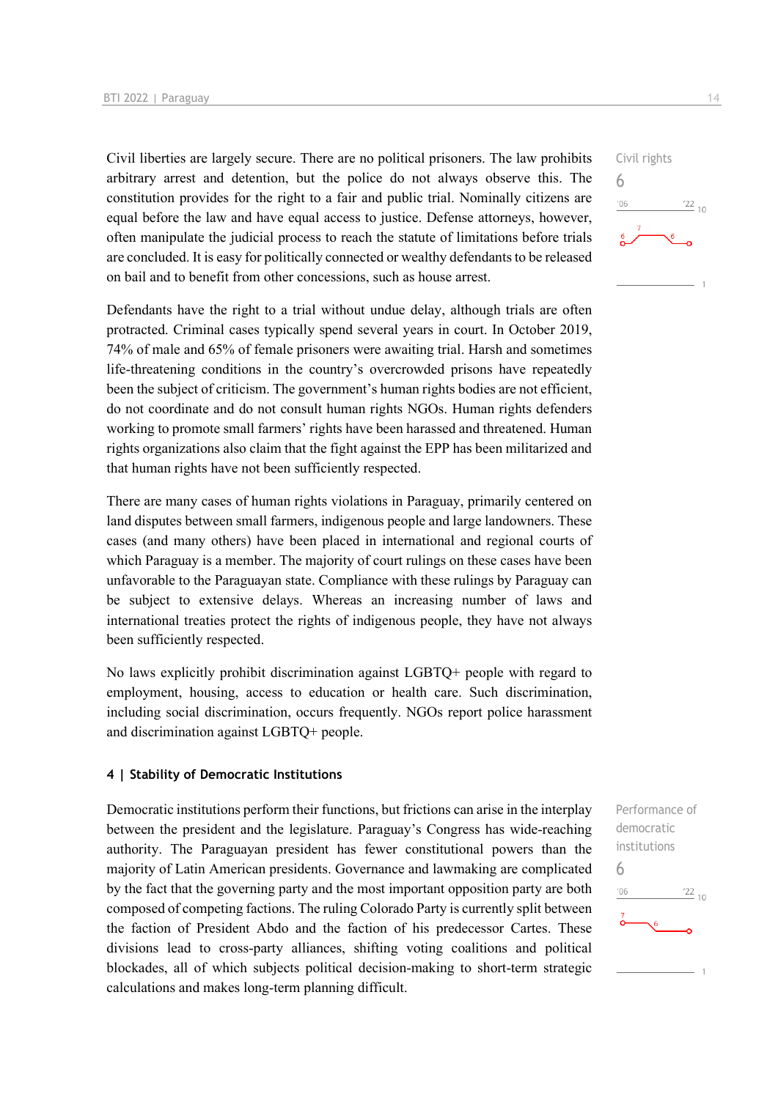Civil liberties are largely secure. There are no political prisoners. The law prohibits arbitrary arrest and detention, but the police do not always observe this. The constitution provides for the right to a fair and public trial. Nominally citizens are equal before the law and have equal access to justice. Defense attorneys, however, often manipulate the judicial process to reach the statute of limitations before trials are concluded. It is easy for politically connected or wealthy defendants to be released on bail and to benefit from other concessions, such as house arrest.

Defendants have the right to a trial without undue delay, although trials are often protracted. Criminal cases typically spend several years in court. In October 2019, 74% of male and 65% of female prisoners were awaiting trial. Harsh and sometimes life-threatening conditions in the country's overcrowded prisons have repeatedly been the subject of criticism. The government's human rights bodies are not efficient, do not coordinate and do not consult human rights NGOs. Human rights defenders working to promote small farmers' rights have been harassed and threatened. Human rights organizations also claim that the fight against the EPP has been militarized and that human rights have not been sufficiently respected.

There are many cases of human rights violations in Paraguay, primarily centered on land disputes between small farmers, indigenous people and large landowners. These cases (and many others) have been placed in international and regional courts of which Paraguay is a member. The majority of court rulings on these cases have been unfavorable to the Paraguayan state. Compliance with these rulings by Paraguay can be subject to extensive delays. Whereas an increasing number of laws and international treaties protect the rights of indigenous people, they have not always been sufficiently respected.

No laws explicitly prohibit discrimination against LGBTQ+ people with regard to employment, housing, access to education or health care. Such discrimination, including social discrimination, occurs frequently. NGOs report police harassment and discrimination against LGBTQ+ people.

#### **4 | Stability of Democratic Institutions**

Democratic institutions perform their functions, but frictions can arise in the interplay between the president and the legislature. Paraguay's Congress has wide-reaching authority. The Paraguayan president has fewer constitutional powers than the majority of Latin American presidents. Governance and lawmaking are complicated by the fact that the governing party and the most important opposition party are both composed of competing factions. The ruling Colorado Party is currently split between the faction of President Abdo and the faction of his predecessor Cartes. These divisions lead to cross-party alliances, shifting voting coalitions and political blockades, all of which subjects political decision-making to short-term strategic calculations and makes long-term planning difficult.



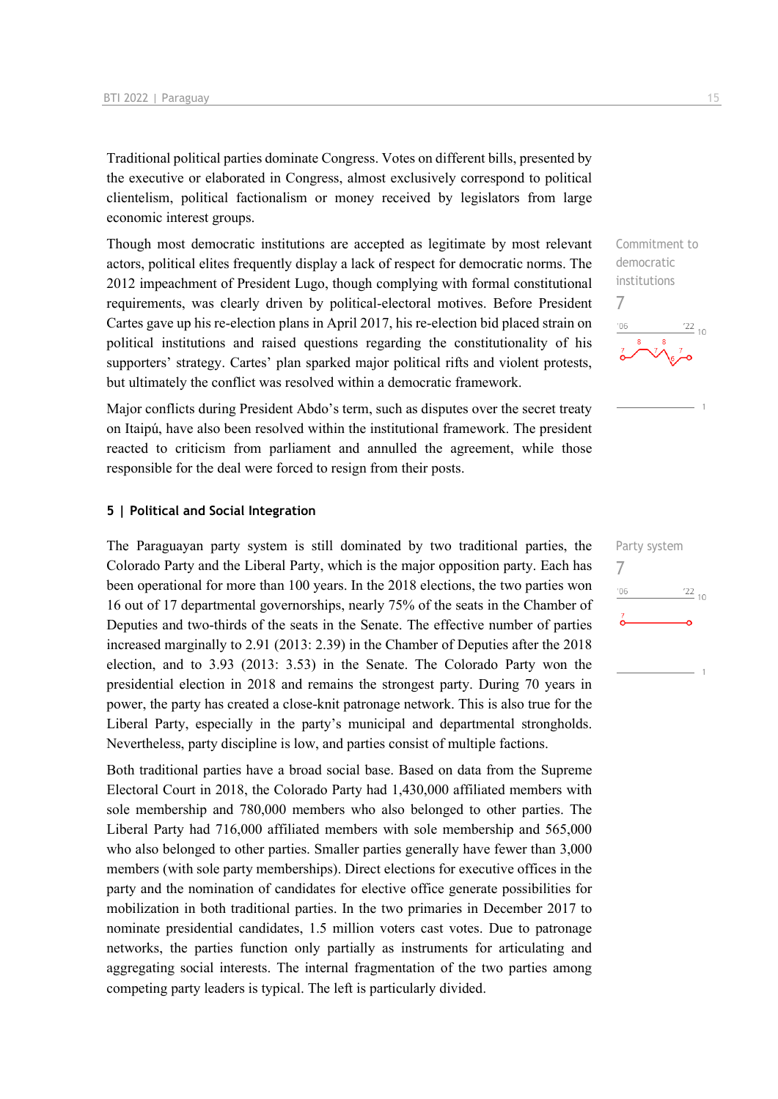Traditional political parties dominate Congress. Votes on different bills, presented by the executive or elaborated in Congress, almost exclusively correspond to political clientelism, political factionalism or money received by legislators from large economic interest groups.

Though most democratic institutions are accepted as legitimate by most relevant actors, political elites frequently display a lack of respect for democratic norms. The 2012 impeachment of President Lugo, though complying with formal constitutional requirements, was clearly driven by political-electoral motives. Before President Cartes gave up his re-election plans in April 2017, his re-election bid placed strain on political institutions and raised questions regarding the constitutionality of his supporters' strategy. Cartes' plan sparked major political rifts and violent protests, but ultimately the conflict was resolved within a democratic framework.

Major conflicts during President Abdo's term, such as disputes over the secret treaty on Itaipú, have also been resolved within the institutional framework. The president reacted to criticism from parliament and annulled the agreement, while those responsible for the deal were forced to resign from their posts.

#### **5 | Political and Social Integration**

The Paraguayan party system is still dominated by two traditional parties, the Colorado Party and the Liberal Party, which is the major opposition party. Each has been operational for more than 100 years. In the 2018 elections, the two parties won 16 out of 17 departmental governorships, nearly 75% of the seats in the Chamber of Deputies and two-thirds of the seats in the Senate. The effective number of parties increased marginally to 2.91 (2013: 2.39) in the Chamber of Deputies after the 2018 election, and to 3.93 (2013: 3.53) in the Senate. The Colorado Party won the presidential election in 2018 and remains the strongest party. During 70 years in power, the party has created a close-knit patronage network. This is also true for the Liberal Party, especially in the party's municipal and departmental strongholds. Nevertheless, party discipline is low, and parties consist of multiple factions.

Both traditional parties have a broad social base. Based on data from the Supreme Electoral Court in 2018, the Colorado Party had 1,430,000 affiliated members with sole membership and 780,000 members who also belonged to other parties. The Liberal Party had 716,000 affiliated members with sole membership and 565,000 who also belonged to other parties. Smaller parties generally have fewer than 3,000 members (with sole party memberships). Direct elections for executive offices in the party and the nomination of candidates for elective office generate possibilities for mobilization in both traditional parties. In the two primaries in December 2017 to nominate presidential candidates, 1.5 million voters cast votes. Due to patronage networks, the parties function only partially as instruments for articulating and aggregating social interests. The internal fragmentation of the two parties among competing party leaders is typical. The left is particularly divided.

Commitment to democratic institutions 7  $\frac{22}{10}$ 

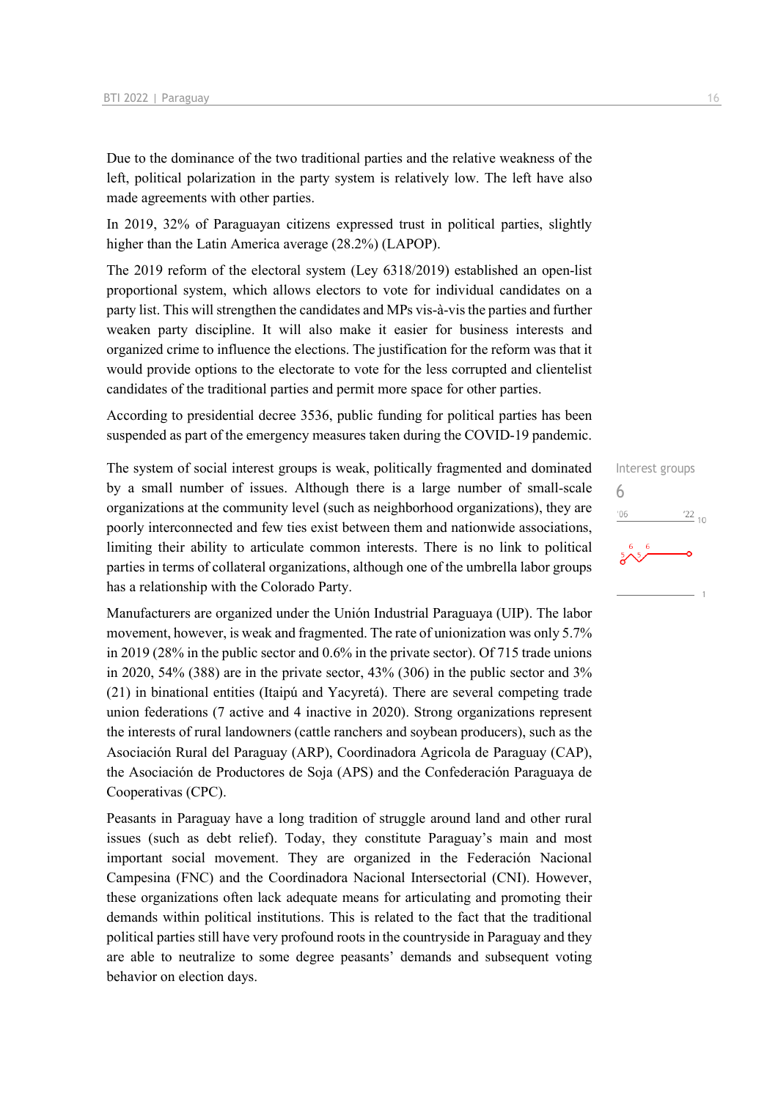Due to the dominance of the two traditional parties and the relative weakness of the left, political polarization in the party system is relatively low. The left have also made agreements with other parties.

In 2019, 32% of Paraguayan citizens expressed trust in political parties, slightly higher than the Latin America average (28.2%) (LAPOP).

The 2019 reform of the electoral system (Ley 6318/2019) established an open-list proportional system, which allows electors to vote for individual candidates on a party list. This will strengthen the candidates and MPs vis-à-vis the parties and further weaken party discipline. It will also make it easier for business interests and organized crime to influence the elections. The justification for the reform was that it would provide options to the electorate to vote for the less corrupted and clientelist candidates of the traditional parties and permit more space for other parties.

According to presidential decree 3536, public funding for political parties has been suspended as part of the emergency measures taken during the COVID-19 pandemic.

The system of social interest groups is weak, politically fragmented and dominated by a small number of issues. Although there is a large number of small-scale organizations at the community level (such as neighborhood organizations), they are poorly interconnected and few ties exist between them and nationwide associations, limiting their ability to articulate common interests. There is no link to political parties in terms of collateral organizations, although one of the umbrella labor groups has a relationship with the Colorado Party.

Manufacturers are organized under the Unión Industrial Paraguaya (UIP). The labor movement, however, is weak and fragmented. The rate of unionization was only 5.7% in 2019 (28% in the public sector and 0.6% in the private sector). Of 715 trade unions in 2020, 54% (388) are in the private sector, 43% (306) in the public sector and 3% (21) in binational entities (Itaipú and Yacyretá). There are several competing trade union federations (7 active and 4 inactive in 2020). Strong organizations represent the interests of rural landowners (cattle ranchers and soybean producers), such as the Asociación Rural del Paraguay (ARP), Coordinadora Agricola de Paraguay (CAP), the Asociación de Productores de Soja (APS) and the Confederación Paraguaya de Cooperativas (CPC).

Peasants in Paraguay have a long tradition of struggle around land and other rural issues (such as debt relief). Today, they constitute Paraguay's main and most important social movement. They are organized in the Federación Nacional Campesina (FNC) and the Coordinadora Nacional Intersectorial (CNI). However, these organizations often lack adequate means for articulating and promoting their demands within political institutions. This is related to the fact that the traditional political parties still have very profound roots in the countryside in Paraguay and they are able to neutralize to some degree peasants' demands and subsequent voting behavior on election days.

## Interest groups 6 $\frac{22}{10}$  $06'$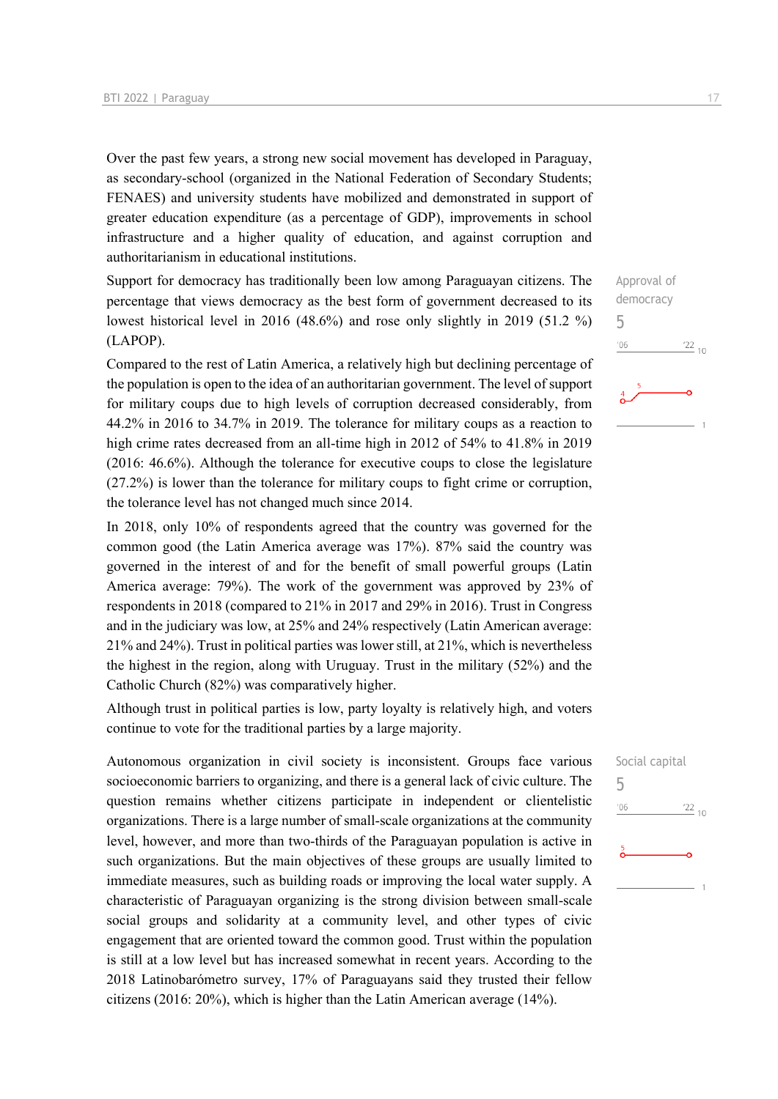Over the past few years, a strong new social movement has developed in Paraguay, as secondary-school (organized in the National Federation of Secondary Students; FENAES) and university students have mobilized and demonstrated in support of greater education expenditure (as a percentage of GDP), improvements in school infrastructure and a higher quality of education, and against corruption and authoritarianism in educational institutions.

Support for democracy has traditionally been low among Paraguayan citizens. The percentage that views democracy as the best form of government decreased to its lowest historical level in 2016 (48.6%) and rose only slightly in 2019 (51.2 %) (LAPOP).

Compared to the rest of Latin America, a relatively high but declining percentage of the population is open to the idea of an authoritarian government. The level of support for military coups due to high levels of corruption decreased considerably, from 44.2% in 2016 to 34.7% in 2019. The tolerance for military coups as a reaction to high crime rates decreased from an all-time high in 2012 of 54% to 41.8% in 2019 (2016: 46.6%). Although the tolerance for executive coups to close the legislature (27.2%) is lower than the tolerance for military coups to fight crime or corruption, the tolerance level has not changed much since 2014.

In 2018, only 10% of respondents agreed that the country was governed for the common good (the Latin America average was 17%). 87% said the country was governed in the interest of and for the benefit of small powerful groups (Latin America average: 79%). The work of the government was approved by 23% of respondents in 2018 (compared to 21% in 2017 and 29% in 2016). Trust in Congress and in the judiciary was low, at 25% and 24% respectively (Latin American average: 21% and 24%). Trust in political parties was lower still, at 21%, which is nevertheless the highest in the region, along with Uruguay. Trust in the military (52%) and the Catholic Church (82%) was comparatively higher.

Although trust in political parties is low, party loyalty is relatively high, and voters continue to vote for the traditional parties by a large majority.

Autonomous organization in civil society is inconsistent. Groups face various socioeconomic barriers to organizing, and there is a general lack of civic culture. The question remains whether citizens participate in independent or clientelistic organizations. There is a large number of small-scale organizations at the community level, however, and more than two-thirds of the Paraguayan population is active in such organizations. But the main objectives of these groups are usually limited to immediate measures, such as building roads or improving the local water supply. A characteristic of Paraguayan organizing is the strong division between small-scale social groups and solidarity at a community level, and other types of civic engagement that are oriented toward the common good. Trust within the population is still at a low level but has increased somewhat in recent years. According to the 2018 Latinobarómetro survey, 17% of Paraguayans said they trusted their fellow citizens (2016: 20%), which is higher than the Latin American average (14%).

Approval of democracy 5  $06'$  $\frac{22}{10}$ 

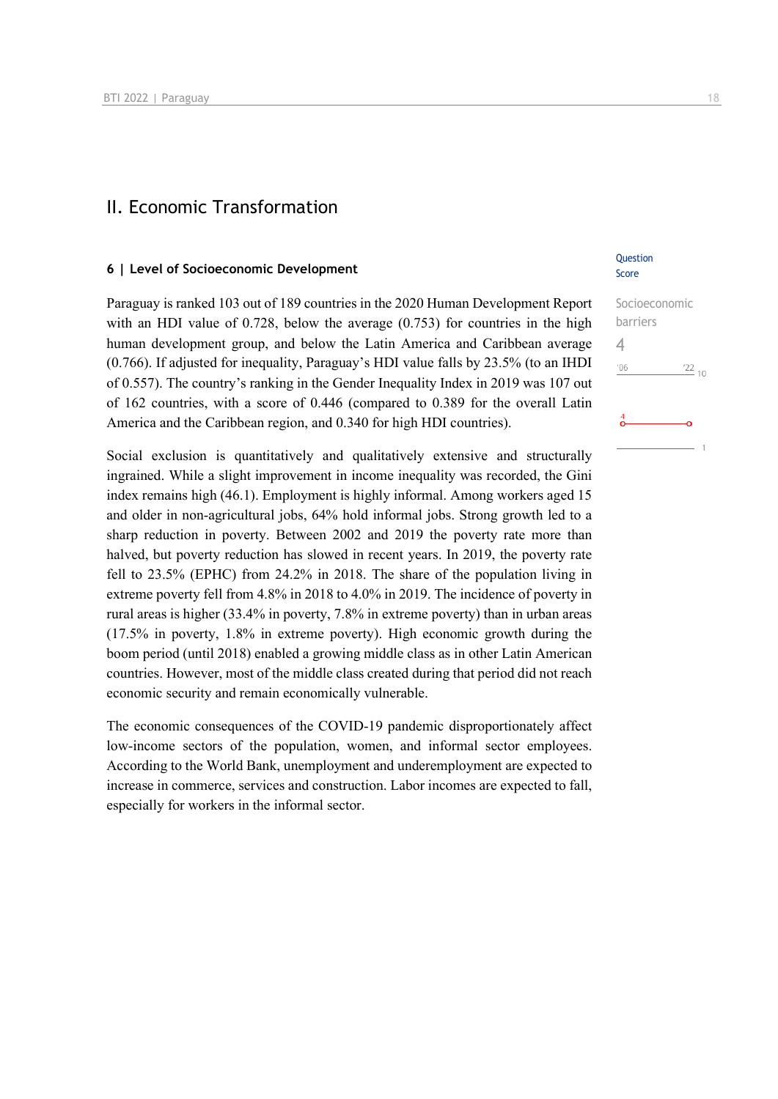#### II. Economic Transformation

#### **6 | Level of Socioeconomic Development**

Paraguay is ranked 103 out of 189 countries in the 2020 Human Development Report with an HDI value of 0.728, below the average (0.753) for countries in the high human development group, and below the Latin America and Caribbean average (0.766). If adjusted for inequality, Paraguay's HDI value falls by 23.5% (to an IHDI of 0.557). The country's ranking in the Gender Inequality Index in 2019 was 107 out of 162 countries, with a score of 0.446 (compared to 0.389 for the overall Latin America and the Caribbean region, and 0.340 for high HDI countries).

Social exclusion is quantitatively and qualitatively extensive and structurally ingrained. While a slight improvement in income inequality was recorded, the Gini index remains high (46.1). Employment is highly informal. Among workers aged 15 and older in non-agricultural jobs, 64% hold informal jobs. Strong growth led to a sharp reduction in poverty. Between 2002 and 2019 the poverty rate more than halved, but poverty reduction has slowed in recent years. In 2019, the poverty rate fell to 23.5% (EPHC) from 24.2% in 2018. The share of the population living in extreme poverty fell from 4.8% in 2018 to 4.0% in 2019. The incidence of poverty in rural areas is higher (33.4% in poverty, 7.8% in extreme poverty) than in urban areas (17.5% in poverty, 1.8% in extreme poverty). High economic growth during the boom period (until 2018) enabled a growing middle class as in other Latin American countries. However, most of the middle class created during that period did not reach economic security and remain economically vulnerable.

The economic consequences of the COVID-19 pandemic disproportionately affect low-income sectors of the population, women, and informal sector employees. According to the World Bank, unemployment and underemployment are expected to increase in commerce, services and construction. Labor incomes are expected to fall, especially for workers in the informal sector.

#### **Question** Score

| Socioeconomic |                 |
|---------------|-----------------|
| barriers      |                 |
|               |                 |
| '06           | $\frac{22}{10}$ |
|               |                 |
| 4             |                 |
|               |                 |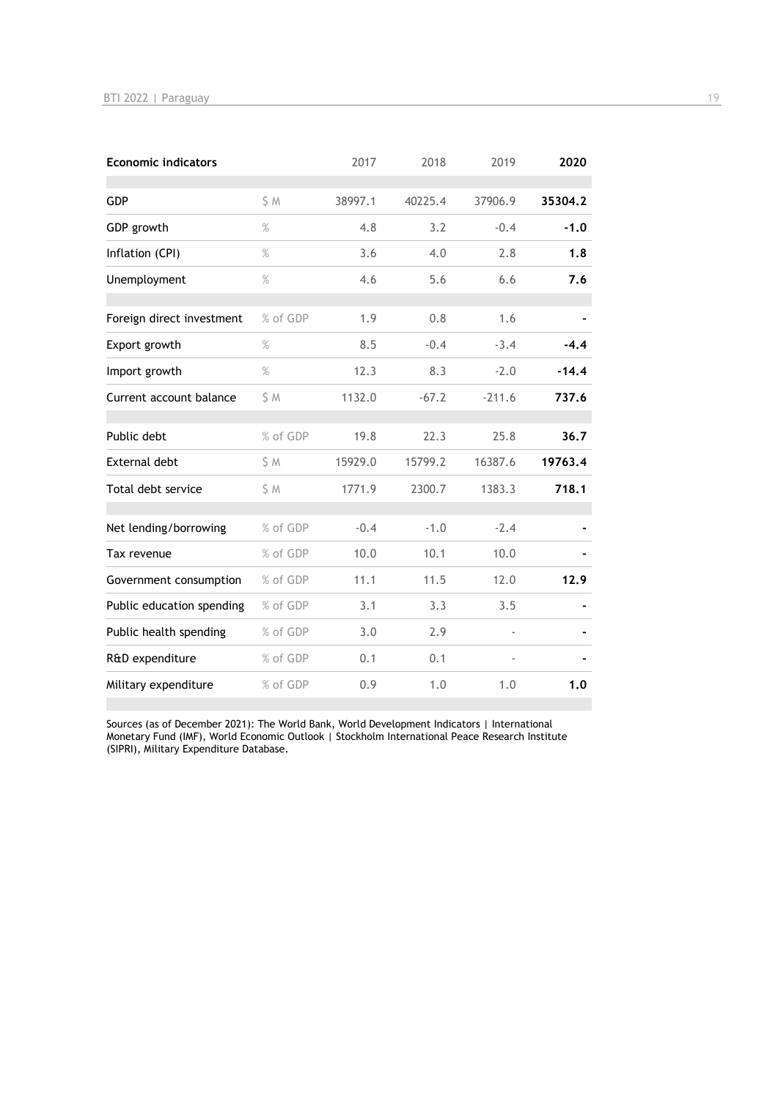| <b>Economic indicators</b> |          | 2017    | 2018    | 2019     | 2020    |
|----------------------------|----------|---------|---------|----------|---------|
| GDP                        | S M      | 38997.1 | 40225.4 | 37906.9  | 35304.2 |
| GDP growth                 | $\%$     | 4.8     | 3.2     | $-0.4$   | $-1.0$  |
| Inflation (CPI)            | $\%$     | 3.6     | 4.0     | 2.8      | 1.8     |
| Unemployment               | $\%$     | 4.6     | 5.6     | 6.6      | 7.6     |
| Foreign direct investment  | % of GDP | 1.9     | 0.8     | 1.6      |         |
| Export growth              | $\%$     | 8.5     | $-0.4$  | $-3.4$   | $-4.4$  |
| Import growth              | $\%$     | 12.3    | 8.3     | $-2.0$   | $-14.4$ |
| Current account balance    | S M      | 1132.0  | $-67.2$ | $-211.6$ | 737.6   |
| Public debt                | % of GDP | 19.8    | 22.3    | 25.8     | 36.7    |
| <b>External debt</b>       | \$ M     | 15929.0 | 15799.2 | 16387.6  | 19763.4 |
| Total debt service         | S M      | 1771.9  | 2300.7  | 1383.3   | 718.1   |
| Net lending/borrowing      | % of GDP | $-0.4$  | $-1.0$  | $-2.4$   |         |
| Tax revenue                | % of GDP | 10.0    | 10.1    | 10.0     |         |
| Government consumption     | % of GDP | 11.1    | 11.5    | 12.0     | 12.9    |
| Public education spending  | % of GDP | 3.1     | 3.3     | 3.5      |         |
| Public health spending     | % of GDP | 3.0     | 2.9     |          |         |
| R&D expenditure            | % of GDP | 0.1     | 0.1     |          |         |
| Military expenditure       | % of GDP | 0.9     | 1.0     | 1.0      | 1.0     |

Sources (as of December 2021): The World Bank, World Development Indicators | International Monetary Fund (IMF), World Economic Outlook | Stockholm International Peace Research Institute (SIPRI), Military Expenditure Database.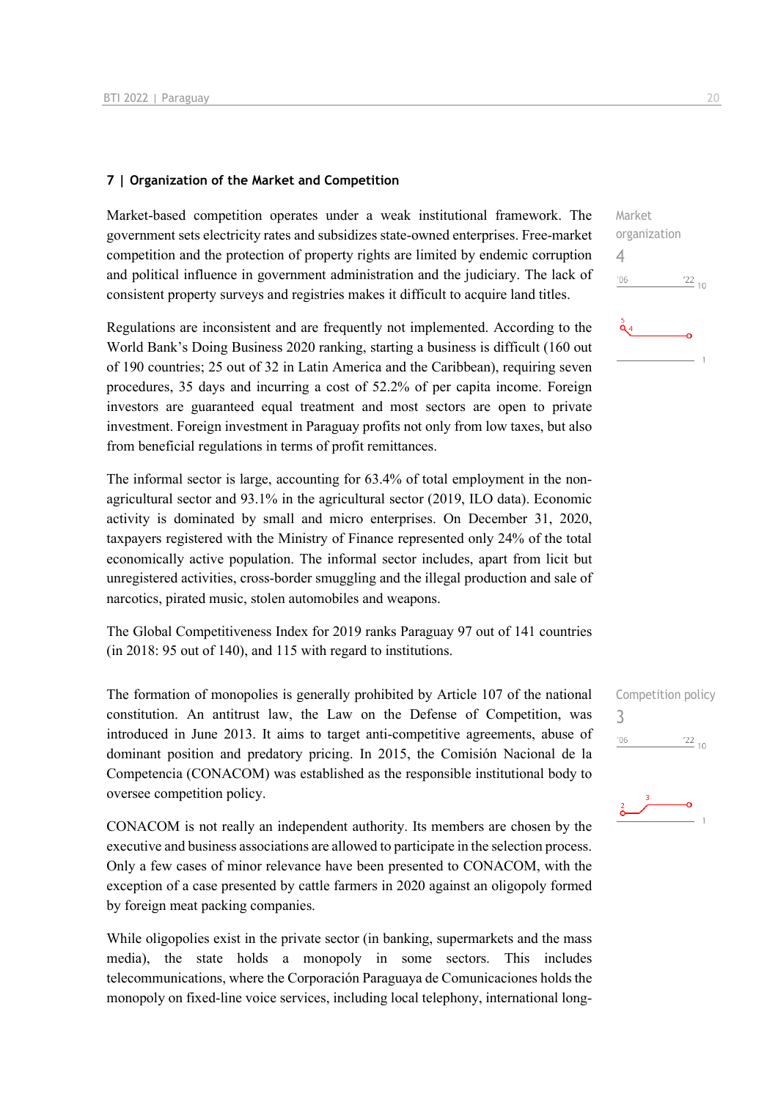#### **7 | Organization of the Market and Competition**

Market-based competition operates under a weak institutional framework. The government sets electricity rates and subsidizes state-owned enterprises. Free-market competition and the protection of property rights are limited by endemic corruption and political influence in government administration and the judiciary. The lack of consistent property surveys and registries makes it difficult to acquire land titles.

Regulations are inconsistent and are frequently not implemented. According to the World Bank's Doing Business 2020 ranking, starting a business is difficult (160 out of 190 countries; 25 out of 32 in Latin America and the Caribbean), requiring seven procedures, 35 days and incurring a cost of 52.2% of per capita income. Foreign investors are guaranteed equal treatment and most sectors are open to private investment. Foreign investment in Paraguay profits not only from low taxes, but also from beneficial regulations in terms of profit remittances.

The informal sector is large, accounting for 63.4% of total employment in the nonagricultural sector and 93.1% in the agricultural sector (2019, ILO data). Economic activity is dominated by small and micro enterprises. On December 31, 2020, taxpayers registered with the Ministry of Finance represented only 24% of the total economically active population. The informal sector includes, apart from licit but unregistered activities, cross-border smuggling and the illegal production and sale of narcotics, pirated music, stolen automobiles and weapons.

The Global Competitiveness Index for 2019 ranks Paraguay 97 out of 141 countries (in 2018: 95 out of 140), and 115 with regard to institutions.

The formation of monopolies is generally prohibited by Article 107 of the national constitution. An antitrust law, the Law on the Defense of Competition, was introduced in June 2013. It aims to target anti-competitive agreements, abuse of dominant position and predatory pricing. In 2015, the Comisión Nacional de la Competencia (CONACOM) was established as the responsible institutional body to oversee competition policy.

CONACOM is not really an independent authority. Its members are chosen by the executive and business associations are allowed to participate in the selection process. Only a few cases of minor relevance have been presented to CONACOM, with the exception of a case presented by cattle farmers in 2020 against an oligopoly formed by foreign meat packing companies.

While oligopolies exist in the private sector (in banking, supermarkets and the mass media), the state holds a monopoly in some sectors. This includes telecommunications, where the Corporación Paraguaya de Comunicaciones holds the monopoly on fixed-line voice services, including local telephony, international long-



Competition policy 3 $\frac{22}{10}$  $106$ 

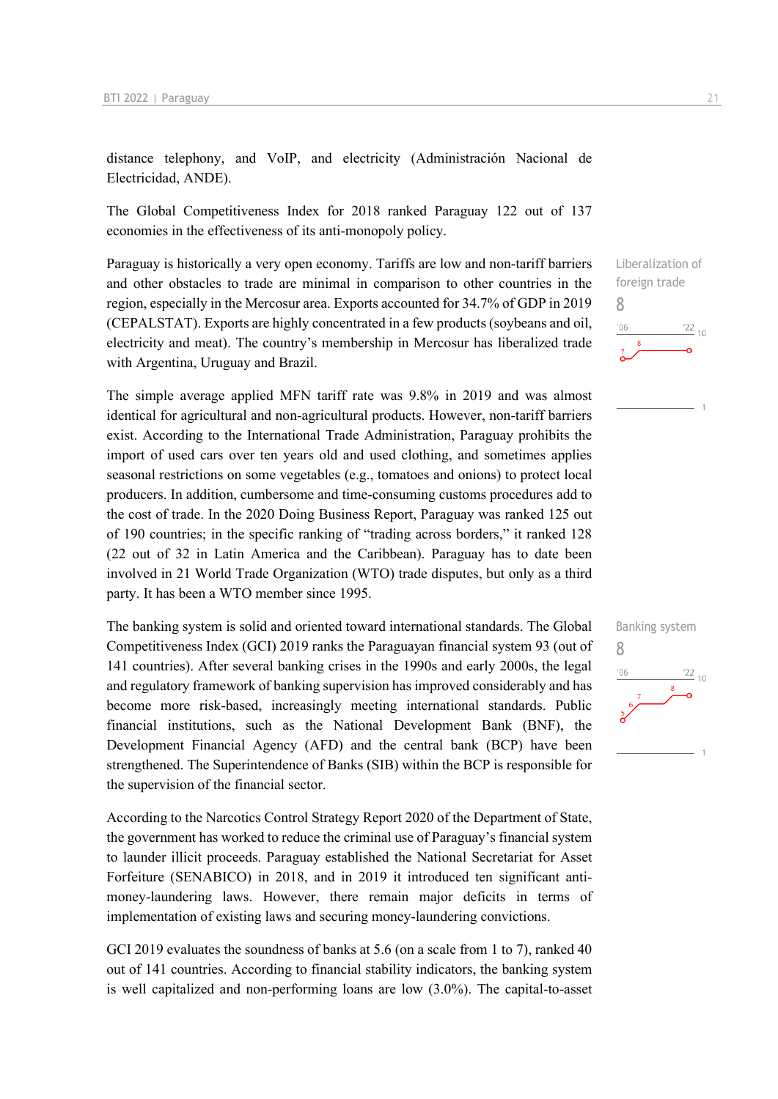distance telephony, and VoIP, and electricity (Administración Nacional de Electricidad, ANDE).

The Global Competitiveness Index for 2018 ranked Paraguay 122 out of 137 economies in the effectiveness of its anti-monopoly policy.

Paraguay is historically a very open economy. Tariffs are low and non-tariff barriers and other obstacles to trade are minimal in comparison to other countries in the region, especially in the Mercosur area. Exports accounted for 34.7% of GDP in 2019 (CEPALSTAT). Exports are highly concentrated in a few products (soybeans and oil, electricity and meat). The country's membership in Mercosur has liberalized trade with Argentina, Uruguay and Brazil.

The simple average applied MFN tariff rate was 9.8% in 2019 and was almost identical for agricultural and non-agricultural products. However, non-tariff barriers exist. According to the International Trade Administration, Paraguay prohibits the import of used cars over ten years old and used clothing, and sometimes applies seasonal restrictions on some vegetables (e.g., tomatoes and onions) to protect local producers. In addition, cumbersome and time-consuming customs procedures add to the cost of trade. In the 2020 Doing Business Report, Paraguay was ranked 125 out of 190 countries; in the specific ranking of "trading across borders," it ranked 128 (22 out of 32 in Latin America and the Caribbean). Paraguay has to date been involved in 21 World Trade Organization (WTO) trade disputes, but only as a third party. It has been a WTO member since 1995.

The banking system is solid and oriented toward international standards. The Global Competitiveness Index (GCI) 2019 ranks the Paraguayan financial system 93 (out of 141 countries). After several banking crises in the 1990s and early 2000s, the legal and regulatory framework of banking supervision has improved considerably and has become more risk-based, increasingly meeting international standards. Public financial institutions, such as the National Development Bank (BNF), the Development Financial Agency (AFD) and the central bank (BCP) have been strengthened. The Superintendence of Banks (SIB) within the BCP is responsible for the supervision of the financial sector.

According to the Narcotics Control Strategy Report 2020 of the Department of State, the government has worked to reduce the criminal use of Paraguay's financial system to launder illicit proceeds. Paraguay established the National Secretariat for Asset Forfeiture (SENABICO) in 2018, and in 2019 it introduced ten significant antimoney-laundering laws. However, there remain major deficits in terms of implementation of existing laws and securing money-laundering convictions.

GCI 2019 evaluates the soundness of banks at 5.6 (on a scale from 1 to 7), ranked 40 out of 141 countries. According to financial stability indicators, the banking system is well capitalized and non-performing loans are low (3.0%). The capital-to-asset Liberalization of foreign trade 8  $\frac{22}{10}$  $106$ 

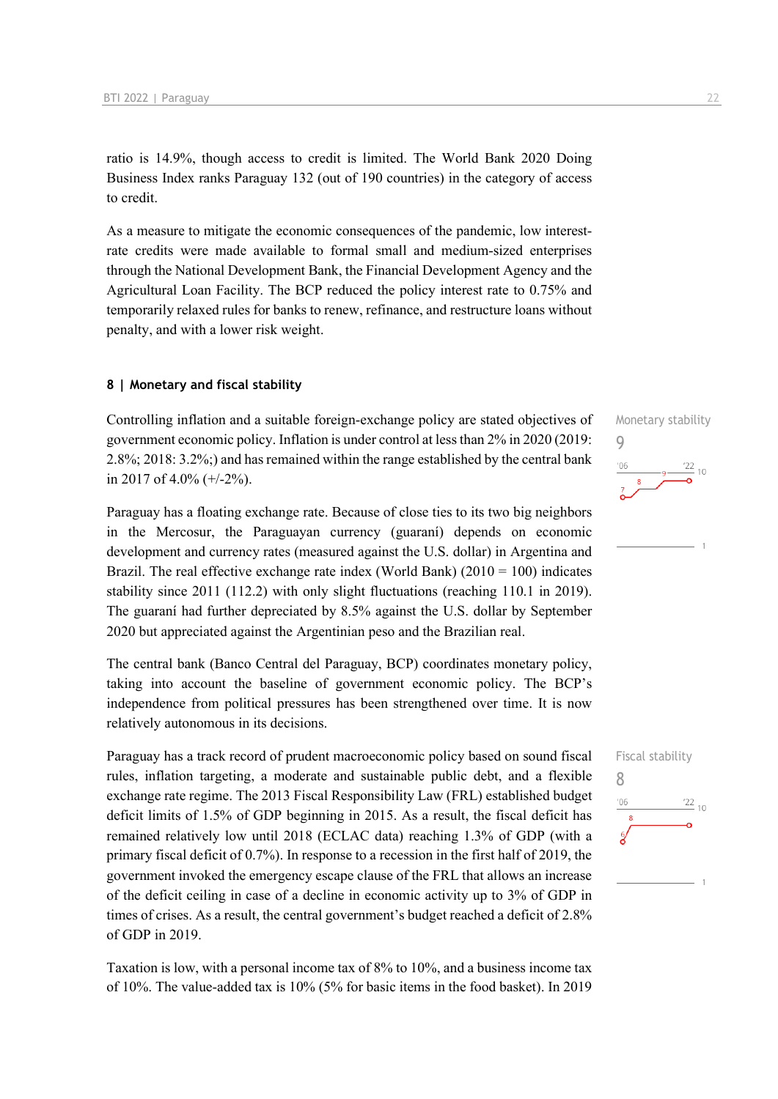ratio is 14.9%, though access to credit is limited. The World Bank 2020 Doing Business Index ranks Paraguay 132 (out of 190 countries) in the category of access to credit.

As a measure to mitigate the economic consequences of the pandemic, low interestrate credits were made available to formal small and medium-sized enterprises through the National Development Bank, the Financial Development Agency and the Agricultural Loan Facility. The BCP reduced the policy interest rate to 0.75% and temporarily relaxed rules for banks to renew, refinance, and restructure loans without penalty, and with a lower risk weight.

#### **8 | Monetary and fiscal stability**

Controlling inflation and a suitable foreign-exchange policy are stated objectives of government economic policy. Inflation is under control at less than 2% in 2020 (2019: 2.8%; 2018: 3.2%;) and has remained within the range established by the central bank in 2017 of 4.0%  $(+/-2)$ %).

Paraguay has a floating exchange rate. Because of close ties to its two big neighbors in the Mercosur, the Paraguayan currency (guaraní) depends on economic development and currency rates (measured against the U.S. dollar) in Argentina and Brazil. The real effective exchange rate index (World Bank)  $(2010 = 100)$  indicates stability since 2011 (112.2) with only slight fluctuations (reaching 110.1 in 2019). The guaraní had further depreciated by 8.5% against the U.S. dollar by September 2020 but appreciated against the Argentinian peso and the Brazilian real.

The central bank (Banco Central del Paraguay, BCP) coordinates monetary policy, taking into account the baseline of government economic policy. The BCP's independence from political pressures has been strengthened over time. It is now relatively autonomous in its decisions.

Paraguay has a track record of prudent macroeconomic policy based on sound fiscal rules, inflation targeting, a moderate and sustainable public debt, and a flexible exchange rate regime. The 2013 Fiscal Responsibility Law (FRL) established budget deficit limits of 1.5% of GDP beginning in 2015. As a result, the fiscal deficit has remained relatively low until 2018 (ECLAC data) reaching 1.3% of GDP (with a primary fiscal deficit of 0.7%). In response to a recession in the first half of 2019, the government invoked the emergency escape clause of the FRL that allows an increase of the deficit ceiling in case of a decline in economic activity up to 3% of GDP in times of crises. As a result, the central government's budget reached a deficit of 2.8% of GDP in 2019.

Taxation is low, with a personal income tax of 8% to 10%, and a business income tax of 10%. The value-added tax is 10% (5% for basic items in the food basket). In 2019



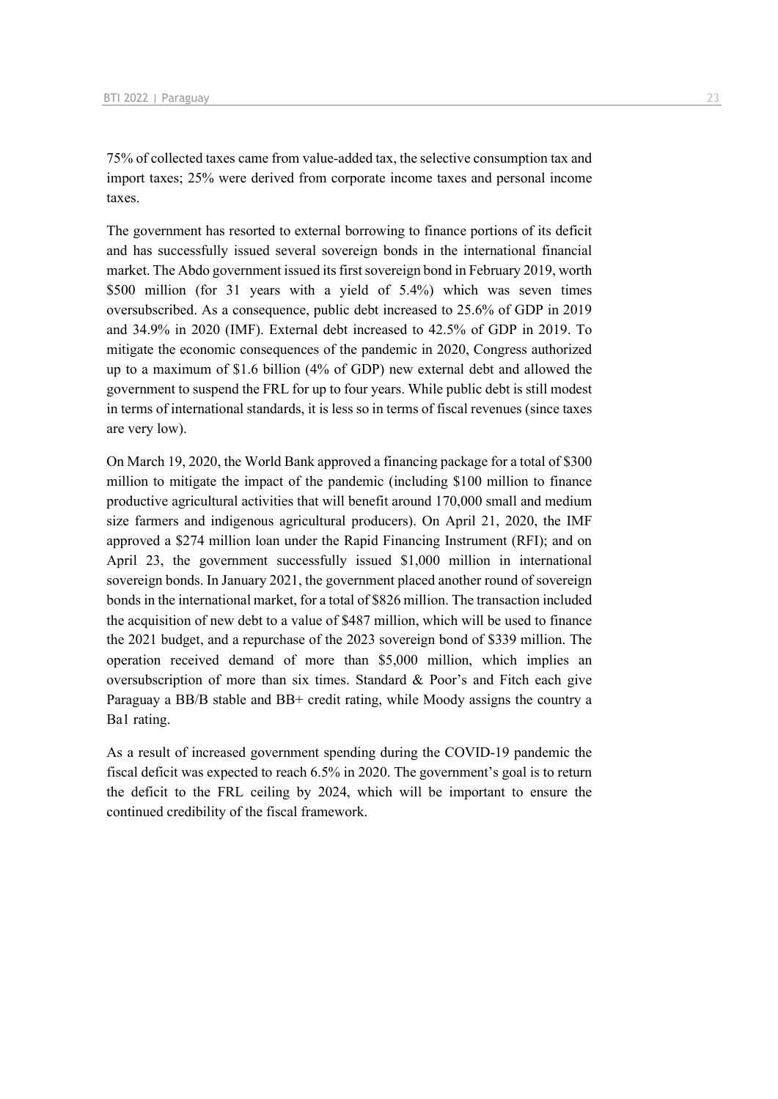75% of collected taxes came from value-added tax, the selective consumption tax and import taxes; 25% were derived from corporate income taxes and personal income taxes.

The government has resorted to external borrowing to finance portions of its deficit and has successfully issued several sovereign bonds in the international financial market. The Abdo government issued its first sovereign bond in February 2019, worth \$500 million (for 31 years with a yield of 5.4%) which was seven times oversubscribed. As a consequence, public debt increased to 25.6% of GDP in 2019 and 34.9% in 2020 (IMF). External debt increased to 42.5% of GDP in 2019. To mitigate the economic consequences of the pandemic in 2020, Congress authorized up to a maximum of \$1.6 billion (4% of GDP) new external debt and allowed the government to suspend the FRL for up to four years. While public debt is still modest in terms of international standards, it is less so in terms of fiscal revenues (since taxes are very low).

On March 19, 2020, the World Bank approved a financing package for a total of \$300 million to mitigate the impact of the pandemic (including \$100 million to finance productive agricultural activities that will benefit around 170,000 small and medium size farmers and indigenous agricultural producers). On April 21, 2020, the IMF approved a \$274 million loan under the Rapid Financing Instrument (RFI); and on April 23, the government successfully issued \$1,000 million in international sovereign bonds. In January 2021, the government placed another round of sovereign bonds in the international market, for a total of \$826 million. The transaction included the acquisition of new debt to a value of \$487 million, which will be used to finance the 2021 budget, and a repurchase of the 2023 sovereign bond of \$339 million. The operation received demand of more than \$5,000 million, which implies an oversubscription of more than six times. Standard & Poor's and Fitch each give Paraguay a BB/B stable and BB+ credit rating, while Moody assigns the country a Ba1 rating.

As a result of increased government spending during the COVID-19 pandemic the fiscal deficit was expected to reach 6.5% in 2020. The government's goal is to return the deficit to the FRL ceiling by 2024, which will be important to ensure the continued credibility of the fiscal framework.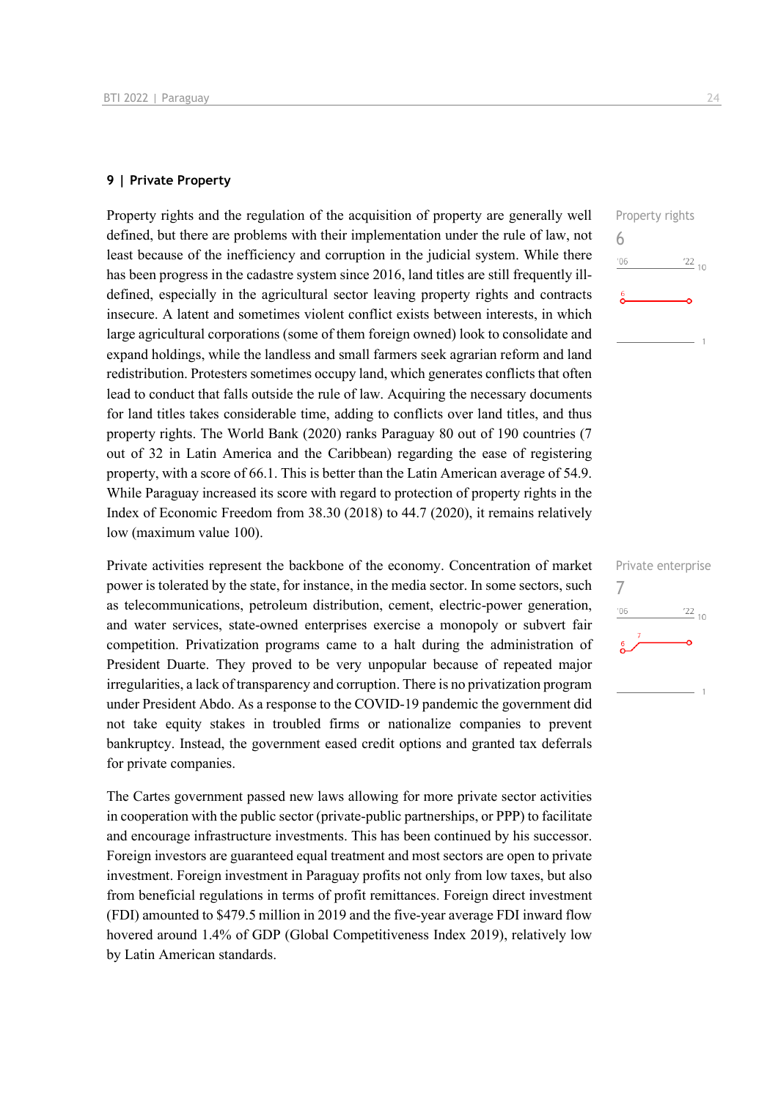#### **9 | Private Property**

Property rights and the regulation of the acquisition of property are generally well defined, but there are problems with their implementation under the rule of law, not least because of the inefficiency and corruption in the judicial system. While there has been progress in the cadastre system since 2016, land titles are still frequently illdefined, especially in the agricultural sector leaving property rights and contracts insecure. A latent and sometimes violent conflict exists between interests, in which large agricultural corporations (some of them foreign owned) look to consolidate and expand holdings, while the landless and small farmers seek agrarian reform and land redistribution. Protesters sometimes occupy land, which generates conflicts that often lead to conduct that falls outside the rule of law. Acquiring the necessary documents for land titles takes considerable time, adding to conflicts over land titles, and thus property rights. The World Bank (2020) ranks Paraguay 80 out of 190 countries (7 out of 32 in Latin America and the Caribbean) regarding the ease of registering property, with a score of 66.1. This is better than the Latin American average of 54.9. While Paraguay increased its score with regard to protection of property rights in the Index of Economic Freedom from 38.30 (2018) to 44.7 (2020), it remains relatively low (maximum value 100).

Private activities represent the backbone of the economy. Concentration of market power is tolerated by the state, for instance, in the media sector. In some sectors, such as telecommunications, petroleum distribution, cement, electric-power generation, and water services, state-owned enterprises exercise a monopoly or subvert fair competition. Privatization programs came to a halt during the administration of President Duarte. They proved to be very unpopular because of repeated major irregularities, a lack of transparency and corruption. There is no privatization program under President Abdo. As a response to the COVID-19 pandemic the government did not take equity stakes in troubled firms or nationalize companies to prevent bankruptcy. Instead, the government eased credit options and granted tax deferrals for private companies.

The Cartes government passed new laws allowing for more private sector activities in cooperation with the public sector (private-public partnerships, or PPP) to facilitate and encourage infrastructure investments. This has been continued by his successor. Foreign investors are guaranteed equal treatment and most sectors are open to private investment. Foreign investment in Paraguay profits not only from low taxes, but also from beneficial regulations in terms of profit remittances. Foreign direct investment (FDI) amounted to \$479.5 million in 2019 and the five-year average FDI inward flow hovered around 1.4% of GDP (Global Competitiveness Index 2019), relatively low by Latin American standards.



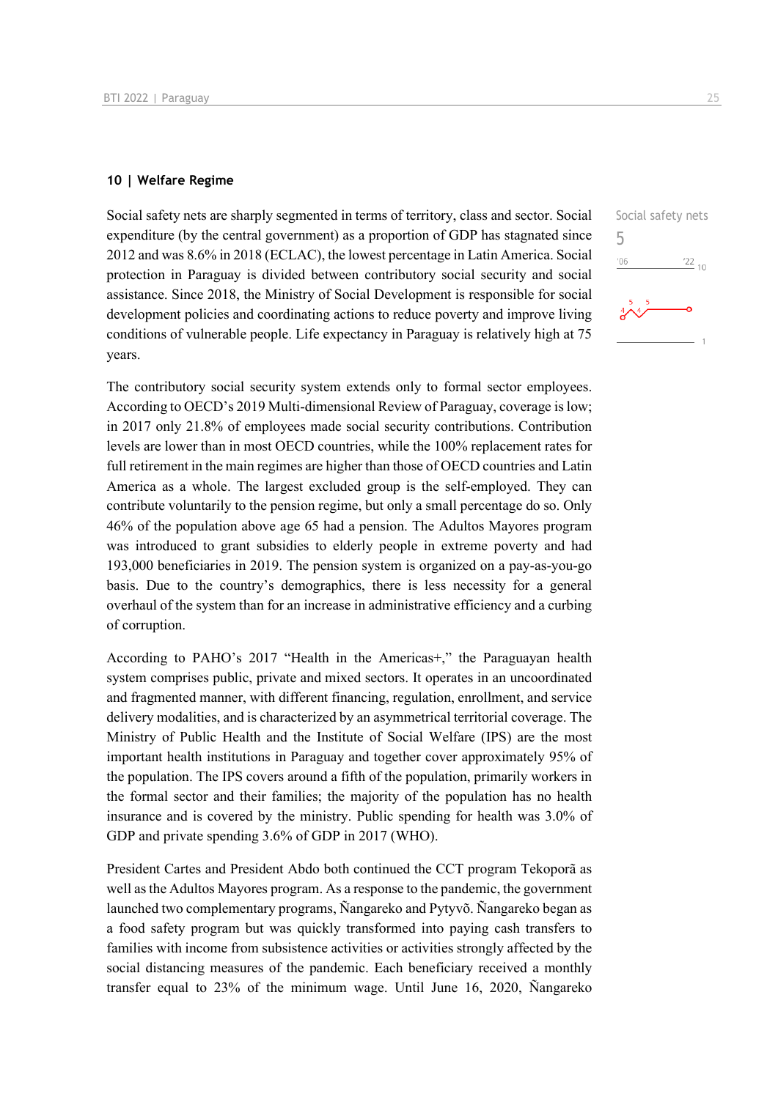#### **10 | Welfare Regime**

Social safety nets are sharply segmented in terms of territory, class and sector. Social expenditure (by the central government) as a proportion of GDP has stagnated since 2012 and was 8.6% in 2018 (ECLAC), the lowest percentage in Latin America. Social protection in Paraguay is divided between contributory social security and social assistance. Since 2018, the Ministry of Social Development is responsible for social development policies and coordinating actions to reduce poverty and improve living conditions of vulnerable people. Life expectancy in Paraguay is relatively high at 75 years.

The contributory social security system extends only to formal sector employees. According to OECD's 2019 Multi-dimensional Review of Paraguay, coverage is low; in 2017 only 21.8% of employees made social security contributions. Contribution levels are lower than in most OECD countries, while the 100% replacement rates for full retirement in the main regimes are higher than those of OECD countries and Latin America as a whole. The largest excluded group is the self-employed. They can contribute voluntarily to the pension regime, but only a small percentage do so. Only 46% of the population above age 65 had a pension. The Adultos Mayores program was introduced to grant subsidies to elderly people in extreme poverty and had 193,000 beneficiaries in 2019. The pension system is organized on a pay-as-you-go basis. Due to the country's demographics, there is less necessity for a general overhaul of the system than for an increase in administrative efficiency and a curbing of corruption.

According to PAHO's 2017 "Health in the Americas+," the Paraguayan health system comprises public, private and mixed sectors. It operates in an uncoordinated and fragmented manner, with different financing, regulation, enrollment, and service delivery modalities, and is characterized by an asymmetrical territorial coverage. The Ministry of Public Health and the Institute of Social Welfare (IPS) are the most important health institutions in Paraguay and together cover approximately 95% of the population. The IPS covers around a fifth of the population, primarily workers in the formal sector and their families; the majority of the population has no health insurance and is covered by the ministry. Public spending for health was 3.0% of GDP and private spending 3.6% of GDP in 2017 (WHO).

President Cartes and President Abdo both continued the CCT program Tekoporã as well as the Adultos Mayores program. As a response to the pandemic, the government launched two complementary programs, Ñangareko and Pytyvõ. Ñangareko began as a food safety program but was quickly transformed into paying cash transfers to families with income from subsistence activities or activities strongly affected by the social distancing measures of the pandemic. Each beneficiary received a monthly transfer equal to 23% of the minimum wage. Until June 16, 2020, Ñangareko

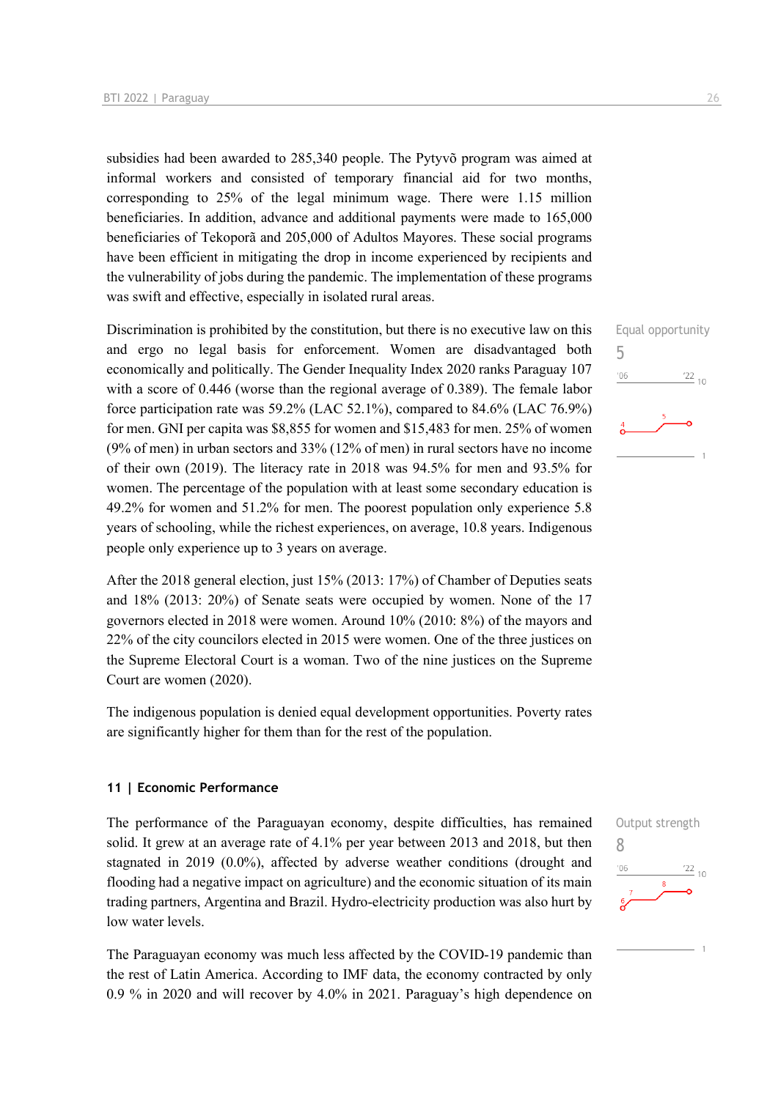subsidies had been awarded to 285,340 people. The Pytyvõ program was aimed at informal workers and consisted of temporary financial aid for two months, corresponding to 25% of the legal minimum wage. There were 1.15 million beneficiaries. In addition, advance and additional payments were made to 165,000 beneficiaries of Tekoporã and 205,000 of Adultos Mayores. These social programs have been efficient in mitigating the drop in income experienced by recipients and the vulnerability of jobs during the pandemic. The implementation of these programs was swift and effective, especially in isolated rural areas.

Discrimination is prohibited by the constitution, but there is no executive law on this and ergo no legal basis for enforcement. Women are disadvantaged both economically and politically. The Gender Inequality Index 2020 ranks Paraguay 107 with a score of 0.446 (worse than the regional average of 0.389). The female labor force participation rate was 59.2% (LAC 52.1%), compared to 84.6% (LAC 76.9%) for men. GNI per capita was \$8,855 for women and \$15,483 for men. 25% of women (9% of men) in urban sectors and 33% (12% of men) in rural sectors have no income of their own (2019). The literacy rate in 2018 was 94.5% for men and 93.5% for women. The percentage of the population with at least some secondary education is 49.2% for women and 51.2% for men. The poorest population only experience 5.8 years of schooling, while the richest experiences, on average, 10.8 years. Indigenous people only experience up to 3 years on average.

After the 2018 general election, just 15% (2013: 17%) of Chamber of Deputies seats and 18% (2013: 20%) of Senate seats were occupied by women. None of the 17 governors elected in 2018 were women. Around 10% (2010: 8%) of the mayors and 22% of the city councilors elected in 2015 were women. One of the three justices on the Supreme Electoral Court is a woman. Two of the nine justices on the Supreme Court are women (2020).

The indigenous population is denied equal development opportunities. Poverty rates are significantly higher for them than for the rest of the population.

#### **11 | Economic Performance**

The performance of the Paraguayan economy, despite difficulties, has remained solid. It grew at an average rate of 4.1% per year between 2013 and 2018, but then stagnated in 2019 (0.0%), affected by adverse weather conditions (drought and flooding had a negative impact on agriculture) and the economic situation of its main trading partners, Argentina and Brazil. Hydro-electricity production was also hurt by low water levels.

The Paraguayan economy was much less affected by the COVID-19 pandemic than the rest of Latin America. According to IMF data, the economy contracted by only 0.9 % in 2020 and will recover by 4.0% in 2021. Paraguay's high dependence on



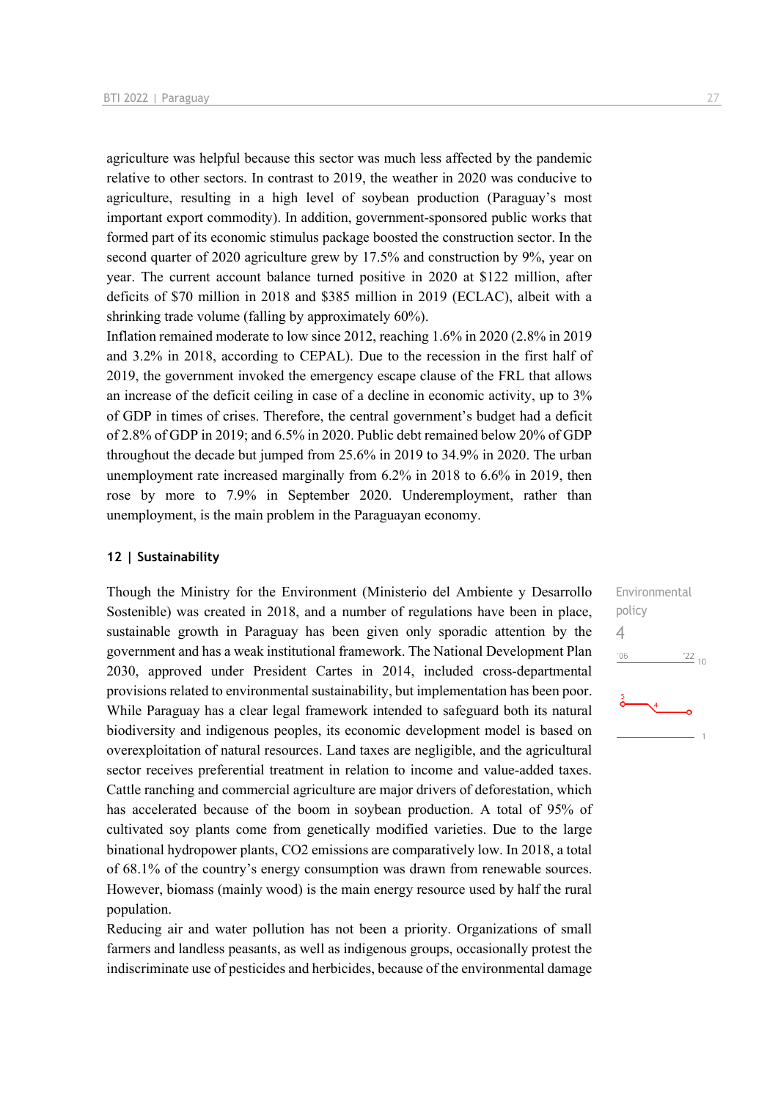agriculture was helpful because this sector was much less affected by the pandemic relative to other sectors. In contrast to 2019, the weather in 2020 was conducive to agriculture, resulting in a high level of soybean production (Paraguay's most important export commodity). In addition, government-sponsored public works that formed part of its economic stimulus package boosted the construction sector. In the second quarter of 2020 agriculture grew by 17.5% and construction by 9%, year on year. The current account balance turned positive in 2020 at \$122 million, after deficits of \$70 million in 2018 and \$385 million in 2019 (ECLAC), albeit with a shrinking trade volume (falling by approximately 60%).

Inflation remained moderate to low since 2012, reaching 1.6% in 2020 (2.8% in 2019 and 3.2% in 2018, according to CEPAL). Due to the recession in the first half of 2019, the government invoked the emergency escape clause of the FRL that allows an increase of the deficit ceiling in case of a decline in economic activity, up to 3% of GDP in times of crises. Therefore, the central government's budget had a deficit of 2.8% of GDP in 2019; and 6.5% in 2020. Public debt remained below 20% of GDP throughout the decade but jumped from 25.6% in 2019 to 34.9% in 2020. The urban unemployment rate increased marginally from 6.2% in 2018 to 6.6% in 2019, then rose by more to 7.9% in September 2020. Underemployment, rather than unemployment, is the main problem in the Paraguayan economy.

#### **12 | Sustainability**

Though the Ministry for the Environment (Ministerio del Ambiente y Desarrollo Sostenible) was created in 2018, and a number of regulations have been in place, sustainable growth in Paraguay has been given only sporadic attention by the government and has a weak institutional framework. The National Development Plan 2030, approved under President Cartes in 2014, included cross-departmental provisions related to environmental sustainability, but implementation has been poor. While Paraguay has a clear legal framework intended to safeguard both its natural biodiversity and indigenous peoples, its economic development model is based on overexploitation of natural resources. Land taxes are negligible, and the agricultural sector receives preferential treatment in relation to income and value-added taxes. Cattle ranching and commercial agriculture are major drivers of deforestation, which has accelerated because of the boom in soybean production. A total of 95% of cultivated soy plants come from genetically modified varieties. Due to the large binational hydropower plants, CO2 emissions are comparatively low. In 2018, a total of 68.1% of the country's energy consumption was drawn from renewable sources. However, biomass (mainly wood) is the main energy resource used by half the rural population.

Reducing air and water pollution has not been a priority. Organizations of small farmers and landless peasants, as well as indigenous groups, occasionally protest the indiscriminate use of pesticides and herbicides, because of the environmental damage Environmental policy 4 $\frac{22}{10}$  $'06$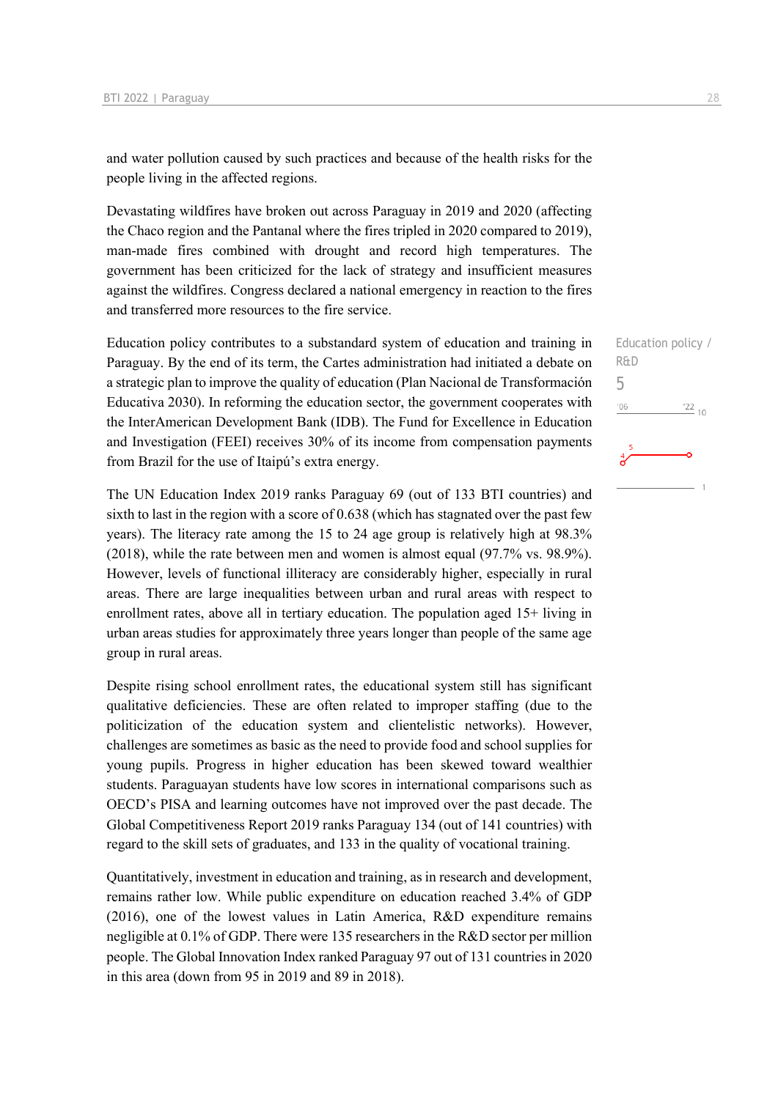and water pollution caused by such practices and because of the health risks for the people living in the affected regions.

Devastating wildfires have broken out across Paraguay in 2019 and 2020 (affecting the Chaco region and the Pantanal where the fires tripled in 2020 compared to 2019), man-made fires combined with drought and record high temperatures. The government has been criticized for the lack of strategy and insufficient measures against the wildfires. Congress declared a national emergency in reaction to the fires and transferred more resources to the fire service.

Education policy contributes to a substandard system of education and training in Paraguay. By the end of its term, the Cartes administration had initiated a debate on a strategic plan to improve the quality of education (Plan Nacional de Transformación Educativa 2030). In reforming the education sector, the government cooperates with the InterAmerican Development Bank (IDB). The Fund for Excellence in Education and Investigation (FEEI) receives 30% of its income from compensation payments from Brazil for the use of Itaipú's extra energy.

The UN Education Index 2019 ranks Paraguay 69 (out of 133 BTI countries) and sixth to last in the region with a score of 0.638 (which has stagnated over the past few years). The literacy rate among the 15 to 24 age group is relatively high at 98.3% (2018), while the rate between men and women is almost equal (97.7% vs. 98.9%). However, levels of functional illiteracy are considerably higher, especially in rural areas. There are large inequalities between urban and rural areas with respect to enrollment rates, above all in tertiary education. The population aged 15+ living in urban areas studies for approximately three years longer than people of the same age group in rural areas.

Despite rising school enrollment rates, the educational system still has significant qualitative deficiencies. These are often related to improper staffing (due to the politicization of the education system and clientelistic networks). However, challenges are sometimes as basic as the need to provide food and school supplies for young pupils. Progress in higher education has been skewed toward wealthier students. Paraguayan students have low scores in international comparisons such as OECD's PISA and learning outcomes have not improved over the past decade. The Global Competitiveness Report 2019 ranks Paraguay 134 (out of 141 countries) with regard to the skill sets of graduates, and 133 in the quality of vocational training.

Quantitatively, investment in education and training, as in research and development, remains rather low. While public expenditure on education reached 3.4% of GDP (2016), one of the lowest values in Latin America, R&D expenditure remains negligible at 0.1% of GDP. There were 135 researchers in the R&D sector per million people. The Global Innovation Index ranked Paraguay 97 out of 131 countries in 2020 in this area (down from 95 in 2019 and 89 in 2018).

Education policy /

 $\frac{22}{10}$ 

R&D 5 $'06$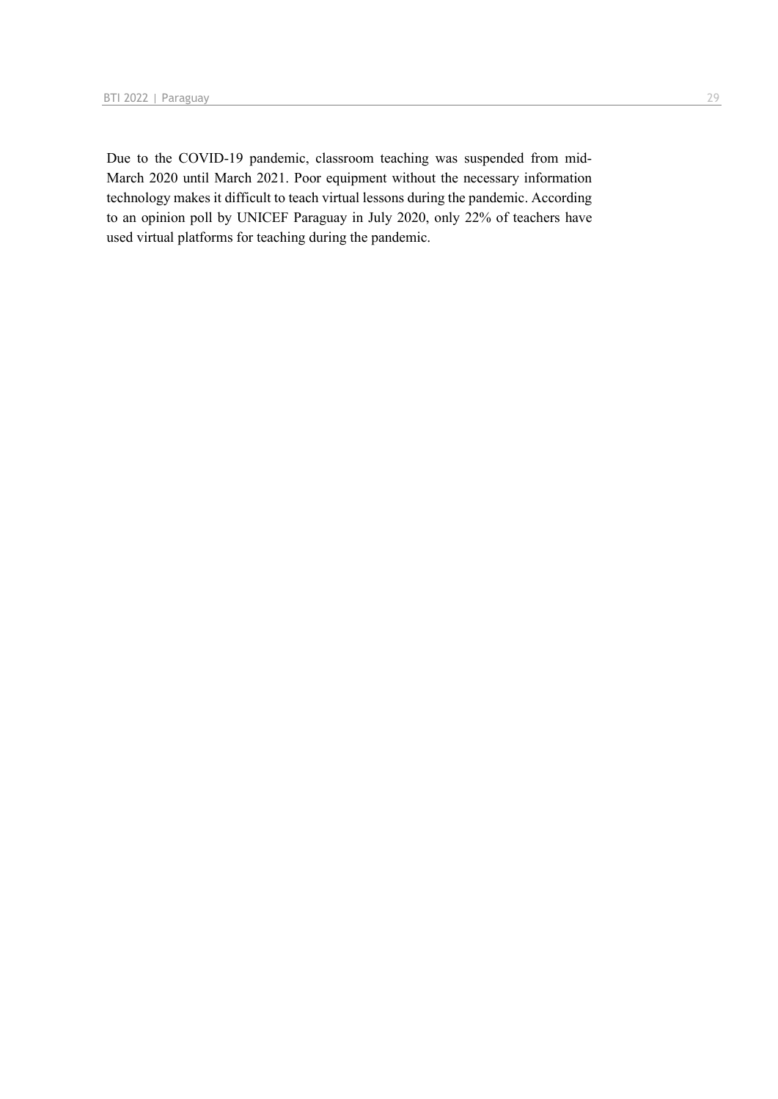Due to the COVID-19 pandemic, classroom teaching was suspended from mid-March 2020 until March 2021. Poor equipment without the necessary information technology makes it difficult to teach virtual lessons during the pandemic. According to an opinion poll by UNICEF Paraguay in July 2020, only 22% of teachers have used virtual platforms for teaching during the pandemic.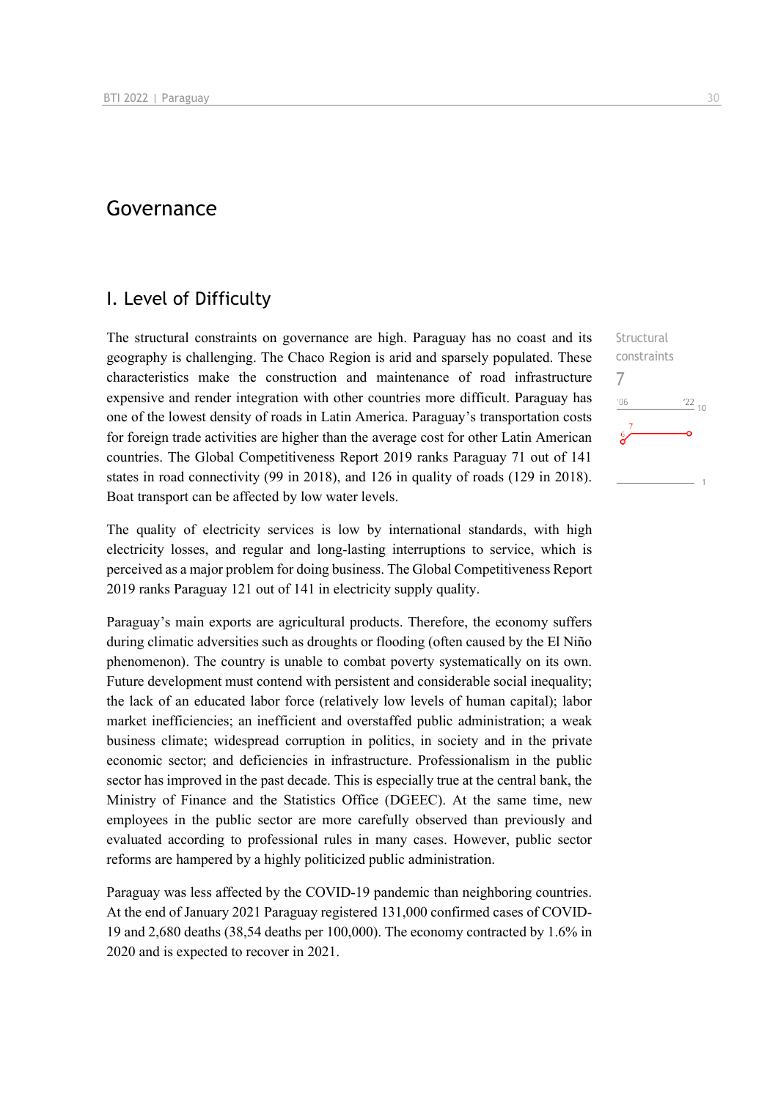### Governance

#### I. Level of Difficulty

The structural constraints on governance are high. Paraguay has no coast and its geography is challenging. The Chaco Region is arid and sparsely populated. These characteristics make the construction and maintenance of road infrastructure expensive and render integration with other countries more difficult. Paraguay has one of the lowest density of roads in Latin America. Paraguay's transportation costs for foreign trade activities are higher than the average cost for other Latin American countries. The Global Competitiveness Report 2019 ranks Paraguay 71 out of 141 states in road connectivity (99 in 2018), and 126 in quality of roads (129 in 2018). Boat transport can be affected by low water levels.

The quality of electricity services is low by international standards, with high electricity losses, and regular and long-lasting interruptions to service, which is perceived as a major problem for doing business. The Global Competitiveness Report 2019 ranks Paraguay 121 out of 141 in electricity supply quality.

Paraguay's main exports are agricultural products. Therefore, the economy suffers during climatic adversities such as droughts or flooding (often caused by the El Niño phenomenon). The country is unable to combat poverty systematically on its own. Future development must contend with persistent and considerable social inequality; the lack of an educated labor force (relatively low levels of human capital); labor market inefficiencies; an inefficient and overstaffed public administration; a weak business climate; widespread corruption in politics, in society and in the private economic sector; and deficiencies in infrastructure. Professionalism in the public sector has improved in the past decade. This is especially true at the central bank, the Ministry of Finance and the Statistics Office (DGEEC). At the same time, new employees in the public sector are more carefully observed than previously and evaluated according to professional rules in many cases. However, public sector reforms are hampered by a highly politicized public administration.

Paraguay was less affected by the COVID-19 pandemic than neighboring countries. At the end of January 2021 Paraguay registered 131,000 confirmed cases of COVID-19 and 2,680 deaths (38,54 deaths per 100,000). The economy contracted by 1.6% in 2020 and is expected to recover in 2021.

Structural constraints

 $^{22}$  10

7 $n<sub>6</sub>$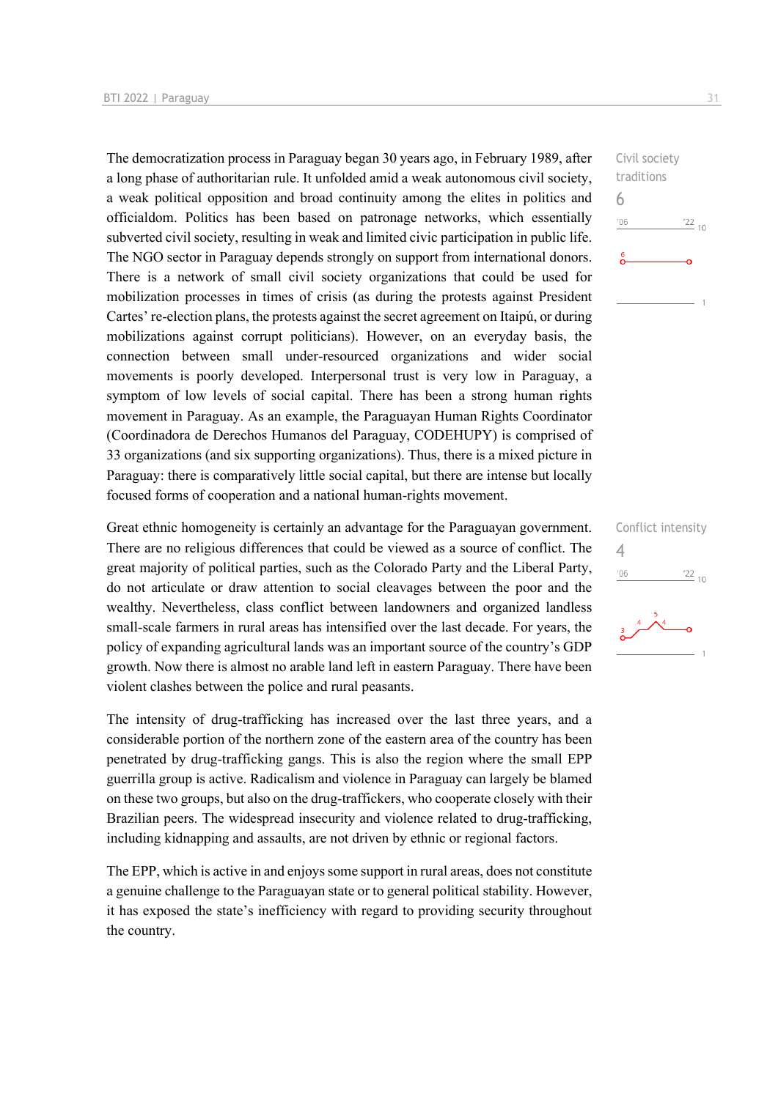The democratization process in Paraguay began 30 years ago, in February 1989, after a long phase of authoritarian rule. It unfolded amid a weak autonomous civil society, a weak political opposition and broad continuity among the elites in politics and officialdom. Politics has been based on patronage networks, which essentially subverted civil society, resulting in weak and limited civic participation in public life. The NGO sector in Paraguay depends strongly on support from international donors. There is a network of small civil society organizations that could be used for mobilization processes in times of crisis (as during the protests against President Cartes' re-election plans, the protests against the secret agreement on Itaipú, or during mobilizations against corrupt politicians). However, on an everyday basis, the connection between small under-resourced organizations and wider social movements is poorly developed. Interpersonal trust is very low in Paraguay, a symptom of low levels of social capital. There has been a strong human rights movement in Paraguay. As an example, the Paraguayan Human Rights Coordinator (Coordinadora de Derechos Humanos del Paraguay, CODEHUPY) is comprised of 33 organizations (and six supporting organizations). Thus, there is a mixed picture in Paraguay: there is comparatively little social capital, but there are intense but locally focused forms of cooperation and a national human-rights movement.

Great ethnic homogeneity is certainly an advantage for the Paraguayan government. There are no religious differences that could be viewed as a source of conflict. The great majority of political parties, such as the Colorado Party and the Liberal Party, do not articulate or draw attention to social cleavages between the poor and the wealthy. Nevertheless, class conflict between landowners and organized landless small-scale farmers in rural areas has intensified over the last decade. For years, the policy of expanding agricultural lands was an important source of the country's GDP growth. Now there is almost no arable land left in eastern Paraguay. There have been violent clashes between the police and rural peasants.

The intensity of drug-trafficking has increased over the last three years, and a considerable portion of the northern zone of the eastern area of the country has been penetrated by drug-trafficking gangs. This is also the region where the small EPP guerrilla group is active. Radicalism and violence in Paraguay can largely be blamed on these two groups, but also on the drug-traffickers, who cooperate closely with their Brazilian peers. The widespread insecurity and violence related to drug-trafficking, including kidnapping and assaults, are not driven by ethnic or regional factors.

The EPP, which is active in and enjoys some support in rural areas, does not constitute a genuine challenge to the Paraguayan state or to general political stability. However, it has exposed the state's inefficiency with regard to providing security throughout the country.

Civil society traditions 6  $-06$  $\frac{22}{10}$ 

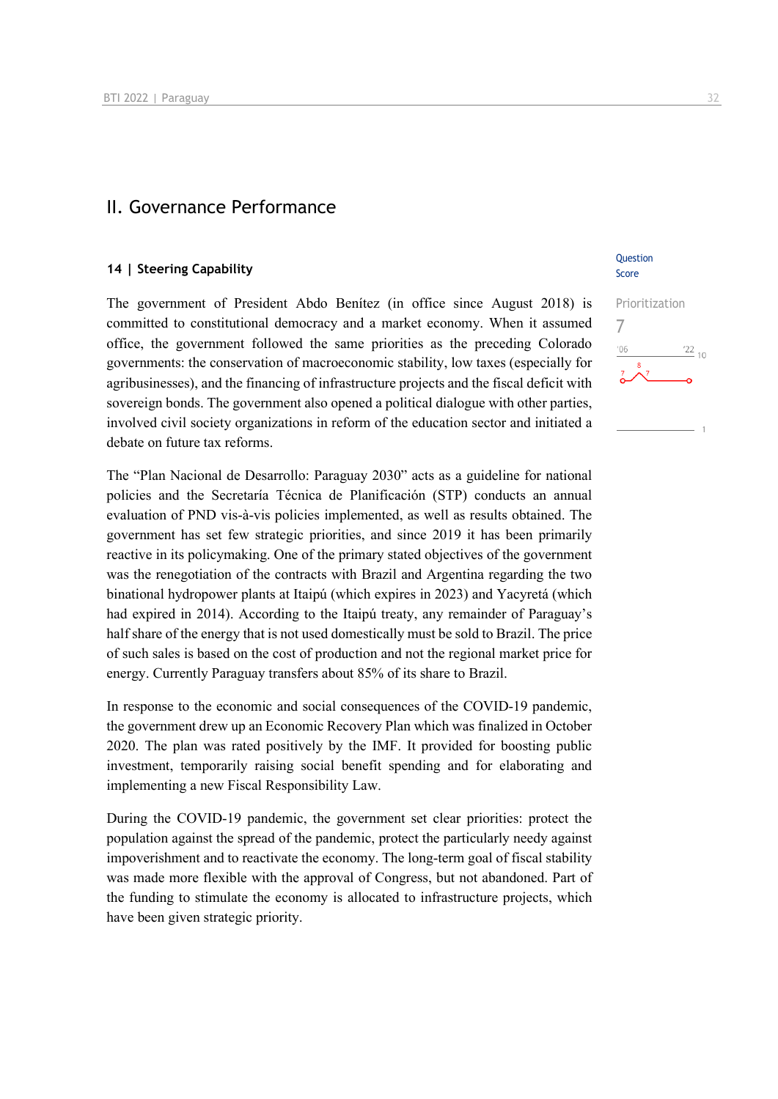#### II. Governance Performance

#### **14 | Steering Capability**

The government of President Abdo Benítez (in office since August 2018) is committed to constitutional democracy and a market economy. When it assumed office, the government followed the same priorities as the preceding Colorado governments: the conservation of macroeconomic stability, low taxes (especially for agribusinesses), and the financing of infrastructure projects and the fiscal deficit with sovereign bonds. The government also opened a political dialogue with other parties, involved civil society organizations in reform of the education sector and initiated a debate on future tax reforms.

The "Plan Nacional de Desarrollo: Paraguay 2030" acts as a guideline for national policies and the Secretaría Técnica de Planificación (STP) conducts an annual evaluation of PND vis-à-vis policies implemented, as well as results obtained. The government has set few strategic priorities, and since 2019 it has been primarily reactive in its policymaking. One of the primary stated objectives of the government was the renegotiation of the contracts with Brazil and Argentina regarding the two binational hydropower plants at Itaipú (which expires in 2023) and Yacyretá (which had expired in 2014). According to the Itaipú treaty, any remainder of Paraguay's half share of the energy that is not used domestically must be sold to Brazil. The price of such sales is based on the cost of production and not the regional market price for energy. Currently Paraguay transfers about 85% of its share to Brazil.

In response to the economic and social consequences of the COVID-19 pandemic, the government drew up an Economic Recovery Plan which was finalized in October 2020. The plan was rated positively by the IMF. It provided for boosting public investment, temporarily raising social benefit spending and for elaborating and implementing a new Fiscal Responsibility Law.

During the COVID-19 pandemic, the government set clear priorities: protect the population against the spread of the pandemic, protect the particularly needy against impoverishment and to reactivate the economy. The long-term goal of fiscal stability was made more flexible with the approval of Congress, but not abandoned. Part of the funding to stimulate the economy is allocated to infrastructure projects, which have been given strategic priority.

#### **Ouestion** Score

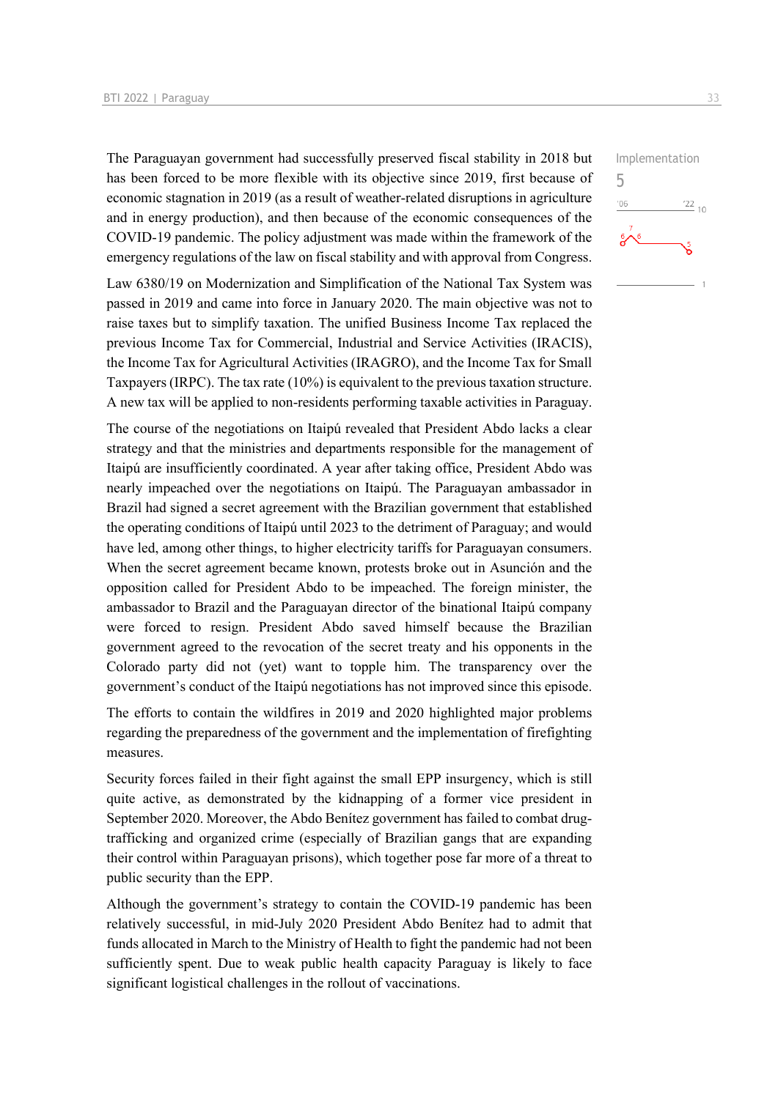The Paraguayan government had successfully preserved fiscal stability in 2018 but has been forced to be more flexible with its objective since 2019, first because of economic stagnation in 2019 (as a result of weather-related disruptions in agriculture and in energy production), and then because of the economic consequences of the COVID-19 pandemic. The policy adjustment was made within the framework of the emergency regulations of the law on fiscal stability and with approval from Congress.

Law 6380/19 on Modernization and Simplification of the National Tax System was passed in 2019 and came into force in January 2020. The main objective was not to raise taxes but to simplify taxation. The unified Business Income Tax replaced the previous Income Tax for Commercial, Industrial and Service Activities (IRACIS), the Income Tax for Agricultural Activities (IRAGRO), and the Income Tax for Small Taxpayers (IRPC). The tax rate (10%) is equivalent to the previous taxation structure. A new tax will be applied to non-residents performing taxable activities in Paraguay.

The course of the negotiations on Itaipú revealed that President Abdo lacks a clear strategy and that the ministries and departments responsible for the management of Itaipú are insufficiently coordinated. A year after taking office, President Abdo was nearly impeached over the negotiations on Itaipú. The Paraguayan ambassador in Brazil had signed a secret agreement with the Brazilian government that established the operating conditions of Itaipú until 2023 to the detriment of Paraguay; and would have led, among other things, to higher electricity tariffs for Paraguayan consumers. When the secret agreement became known, protests broke out in Asunción and the opposition called for President Abdo to be impeached. The foreign minister, the ambassador to Brazil and the Paraguayan director of the binational Itaipú company were forced to resign. President Abdo saved himself because the Brazilian government agreed to the revocation of the secret treaty and his opponents in the Colorado party did not (yet) want to topple him. The transparency over the government's conduct of the Itaipú negotiations has not improved since this episode.

The efforts to contain the wildfires in 2019 and 2020 highlighted major problems regarding the preparedness of the government and the implementation of firefighting measures.

Security forces failed in their fight against the small EPP insurgency, which is still quite active, as demonstrated by the kidnapping of a former vice president in September 2020. Moreover, the Abdo Benítez government has failed to combat drugtrafficking and organized crime (especially of Brazilian gangs that are expanding their control within Paraguayan prisons), which together pose far more of a threat to public security than the EPP.

Although the government's strategy to contain the COVID-19 pandemic has been relatively successful, in mid-July 2020 President Abdo Benítez had to admit that funds allocated in March to the Ministry of Health to fight the pandemic had not been sufficiently spent. Due to weak public health capacity Paraguay is likely to face significant logistical challenges in the rollout of vaccinations.



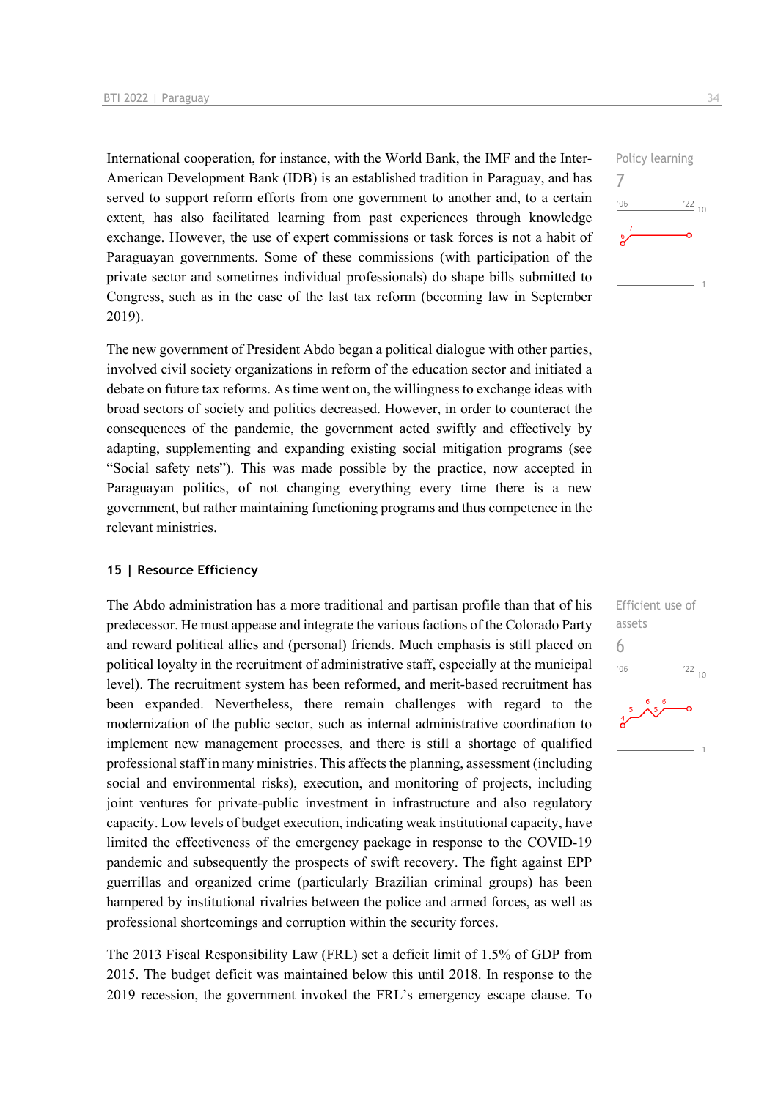International cooperation, for instance, with the World Bank, the IMF and the Inter-American Development Bank (IDB) is an established tradition in Paraguay, and has served to support reform efforts from one government to another and, to a certain extent, has also facilitated learning from past experiences through knowledge exchange. However, the use of expert commissions or task forces is not a habit of Paraguayan governments. Some of these commissions (with participation of the private sector and sometimes individual professionals) do shape bills submitted to Congress, such as in the case of the last tax reform (becoming law in September 2019).

The new government of President Abdo began a political dialogue with other parties, involved civil society organizations in reform of the education sector and initiated a debate on future tax reforms. As time went on, the willingness to exchange ideas with broad sectors of society and politics decreased. However, in order to counteract the consequences of the pandemic, the government acted swiftly and effectively by adapting, supplementing and expanding existing social mitigation programs (see "Social safety nets"). This was made possible by the practice, now accepted in Paraguayan politics, of not changing everything every time there is a new government, but rather maintaining functioning programs and thus competence in the relevant ministries.

#### **15 | Resource Efficiency**

The Abdo administration has a more traditional and partisan profile than that of his predecessor. He must appease and integrate the various factions of the Colorado Party and reward political allies and (personal) friends. Much emphasis is still placed on political loyalty in the recruitment of administrative staff, especially at the municipal level). The recruitment system has been reformed, and merit-based recruitment has been expanded. Nevertheless, there remain challenges with regard to the modernization of the public sector, such as internal administrative coordination to implement new management processes, and there is still a shortage of qualified professional staff in many ministries. This affects the planning, assessment (including social and environmental risks), execution, and monitoring of projects, including joint ventures for private-public investment in infrastructure and also regulatory capacity. Low levels of budget execution, indicating weak institutional capacity, have limited the effectiveness of the emergency package in response to the COVID-19 pandemic and subsequently the prospects of swift recovery. The fight against EPP guerrillas and organized crime (particularly Brazilian criminal groups) has been hampered by institutional rivalries between the police and armed forces, as well as professional shortcomings and corruption within the security forces.

The 2013 Fiscal Responsibility Law (FRL) set a deficit limit of 1.5% of GDP from 2015. The budget deficit was maintained below this until 2018. In response to the 2019 recession, the government invoked the FRL's emergency escape clause. To

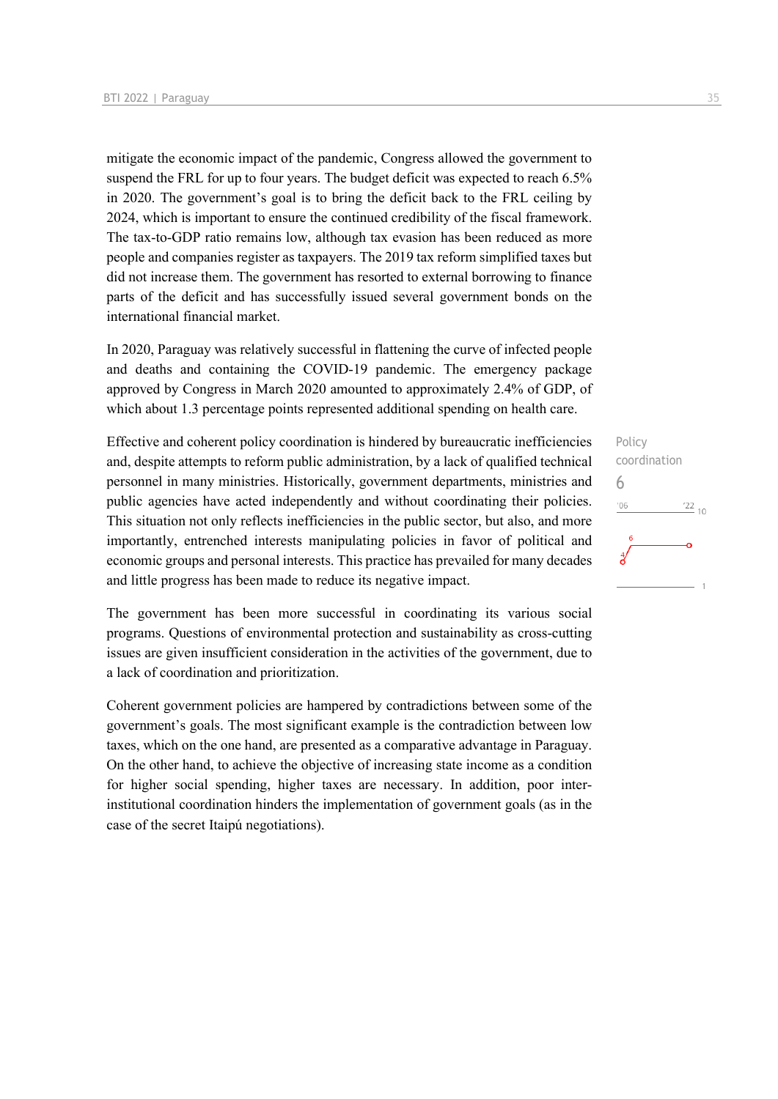mitigate the economic impact of the pandemic, Congress allowed the government to suspend the FRL for up to four years. The budget deficit was expected to reach 6.5% in 2020. The government's goal is to bring the deficit back to the FRL ceiling by 2024, which is important to ensure the continued credibility of the fiscal framework. The tax-to-GDP ratio remains low, although tax evasion has been reduced as more people and companies register as taxpayers. The 2019 tax reform simplified taxes but did not increase them. The government has resorted to external borrowing to finance parts of the deficit and has successfully issued several government bonds on the international financial market.

In 2020, Paraguay was relatively successful in flattening the curve of infected people and deaths and containing the COVID-19 pandemic. The emergency package approved by Congress in March 2020 amounted to approximately 2.4% of GDP, of which about 1.3 percentage points represented additional spending on health care.

Effective and coherent policy coordination is hindered by bureaucratic inefficiencies and, despite attempts to reform public administration, by a lack of qualified technical personnel in many ministries. Historically, government departments, ministries and public agencies have acted independently and without coordinating their policies. This situation not only reflects inefficiencies in the public sector, but also, and more importantly, entrenched interests manipulating policies in favor of political and economic groups and personal interests. This practice has prevailed for many decades and little progress has been made to reduce its negative impact.

The government has been more successful in coordinating its various social programs. Questions of environmental protection and sustainability as cross-cutting issues are given insufficient consideration in the activities of the government, due to a lack of coordination and prioritization.

Coherent government policies are hampered by contradictions between some of the government's goals. The most significant example is the contradiction between low taxes, which on the one hand, are presented as a comparative advantage in Paraguay. On the other hand, to achieve the objective of increasing state income as a condition for higher social spending, higher taxes are necessary. In addition, poor interinstitutional coordination hinders the implementation of government goals (as in the case of the secret Itaipú negotiations).

Policy coordination 6 $-06$  $^{22}$  10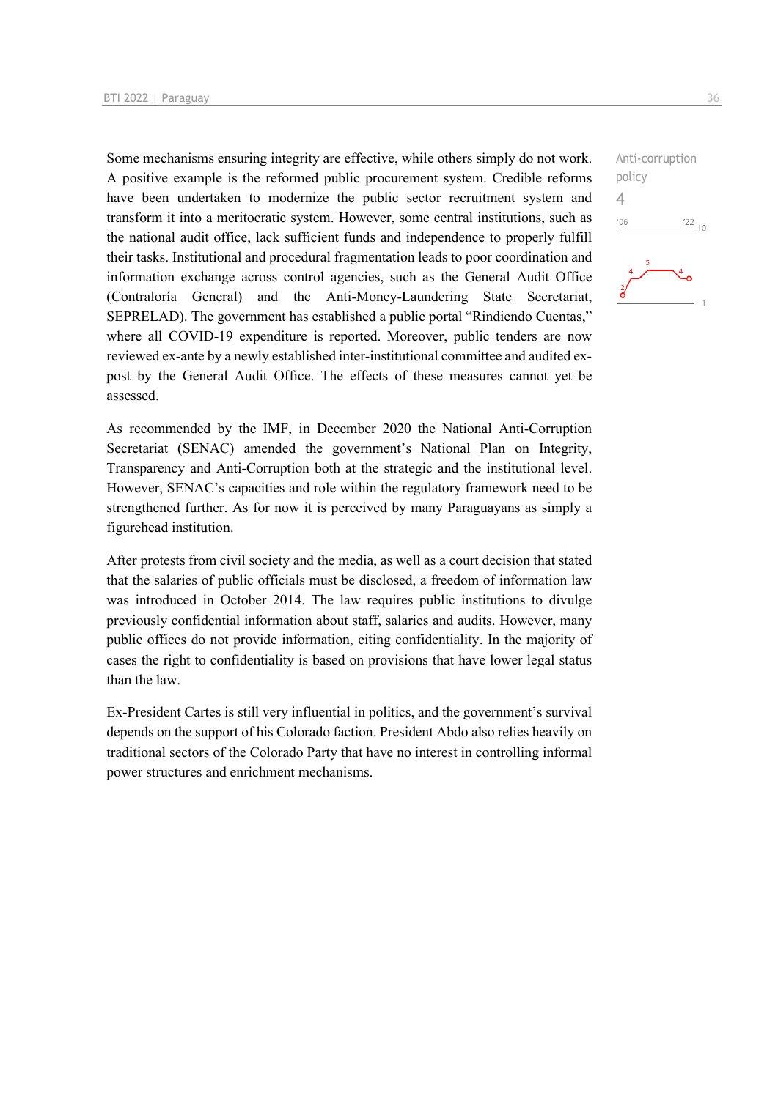Some mechanisms ensuring integrity are effective, while others simply do not work. A positive example is the reformed public procurement system. Credible reforms have been undertaken to modernize the public sector recruitment system and transform it into a meritocratic system. However, some central institutions, such as the national audit office, lack sufficient funds and independence to properly fulfill their tasks. Institutional and procedural fragmentation leads to poor coordination and information exchange across control agencies, such as the General Audit Office (Contraloría General) and the Anti-Money-Laundering State Secretariat, SEPRELAD). The government has established a public portal "Rindiendo Cuentas," where all COVID-19 expenditure is reported. Moreover, public tenders are now reviewed ex-ante by a newly established inter-institutional committee and audited expost by the General Audit Office. The effects of these measures cannot yet be assessed.

As recommended by the IMF, in December 2020 the National Anti-Corruption Secretariat (SENAC) amended the government's National Plan on Integrity, Transparency and Anti-Corruption both at the strategic and the institutional level. However, SENAC's capacities and role within the regulatory framework need to be strengthened further. As for now it is perceived by many Paraguayans as simply a figurehead institution.

After protests from civil society and the media, as well as a court decision that stated that the salaries of public officials must be disclosed, a freedom of information law was introduced in October 2014. The law requires public institutions to divulge previously confidential information about staff, salaries and audits. However, many public offices do not provide information, citing confidentiality. In the majority of cases the right to confidentiality is based on provisions that have lower legal status than the law.

Ex-President Cartes is still very influential in politics, and the government's survival depends on the support of his Colorado faction. President Abdo also relies heavily on traditional sectors of the Colorado Party that have no interest in controlling informal power structures and enrichment mechanisms.

Anti-corruption policy  $\Delta$  $^{\prime}06$  $\frac{22}{10}$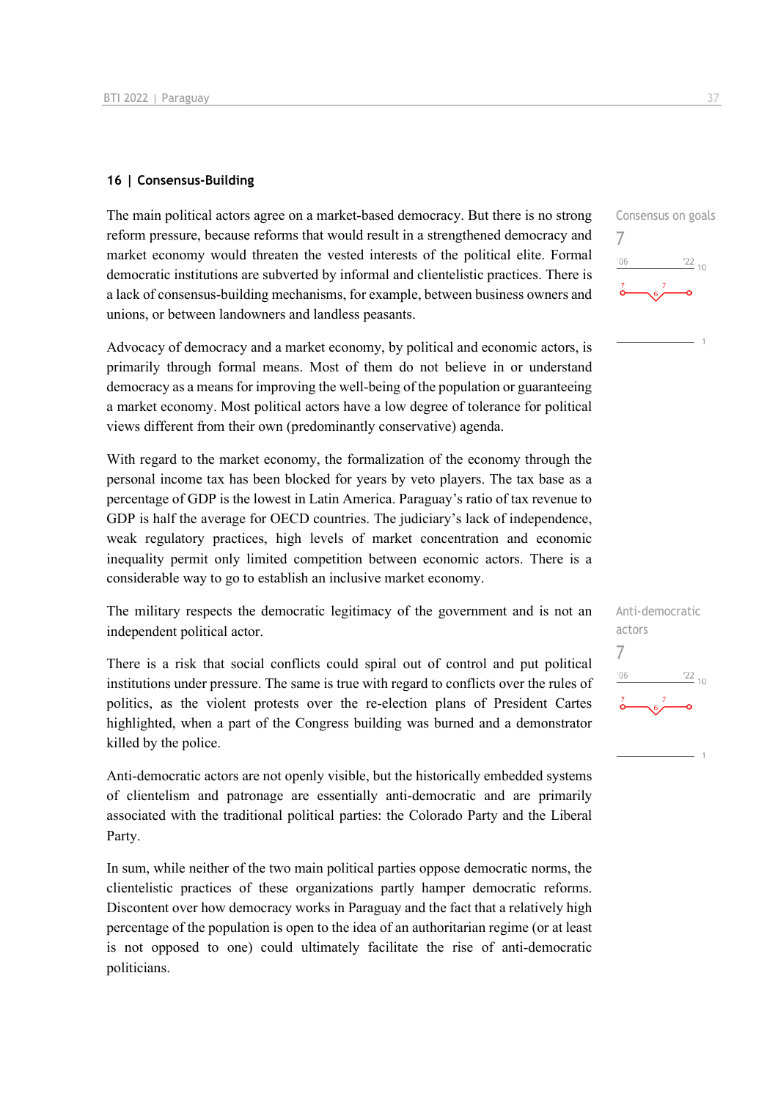#### **16 | Consensus-Building**

The main political actors agree on a market-based democracy. But there is no strong reform pressure, because reforms that would result in a strengthened democracy and market economy would threaten the vested interests of the political elite. Formal democratic institutions are subverted by informal and clientelistic practices. There is a lack of consensus-building mechanisms, for example, between business owners and unions, or between landowners and landless peasants.

Advocacy of democracy and a market economy, by political and economic actors, is primarily through formal means. Most of them do not believe in or understand democracy as a means for improving the well-being of the population or guaranteeing a market economy. Most political actors have a low degree of tolerance for political views different from their own (predominantly conservative) agenda.

With regard to the market economy, the formalization of the economy through the personal income tax has been blocked for years by veto players. The tax base as a percentage of GDP is the lowest in Latin America. Paraguay's ratio of tax revenue to GDP is half the average for OECD countries. The judiciary's lack of independence, weak regulatory practices, high levels of market concentration and economic inequality permit only limited competition between economic actors. There is a considerable way to go to establish an inclusive market economy.

The military respects the democratic legitimacy of the government and is not an independent political actor.

There is a risk that social conflicts could spiral out of control and put political institutions under pressure. The same is true with regard to conflicts over the rules of politics, as the violent protests over the re-election plans of President Cartes highlighted, when a part of the Congress building was burned and a demonstrator killed by the police.

Anti-democratic actors are not openly visible, but the historically embedded systems of clientelism and patronage are essentially anti-democratic and are primarily associated with the traditional political parties: the Colorado Party and the Liberal Party.

In sum, while neither of the two main political parties oppose democratic norms, the clientelistic practices of these organizations partly hamper democratic reforms. Discontent over how democracy works in Paraguay and the fact that a relatively high percentage of the population is open to the idea of an authoritarian regime (or at least is not opposed to one) could ultimately facilitate the rise of anti-democratic politicians.



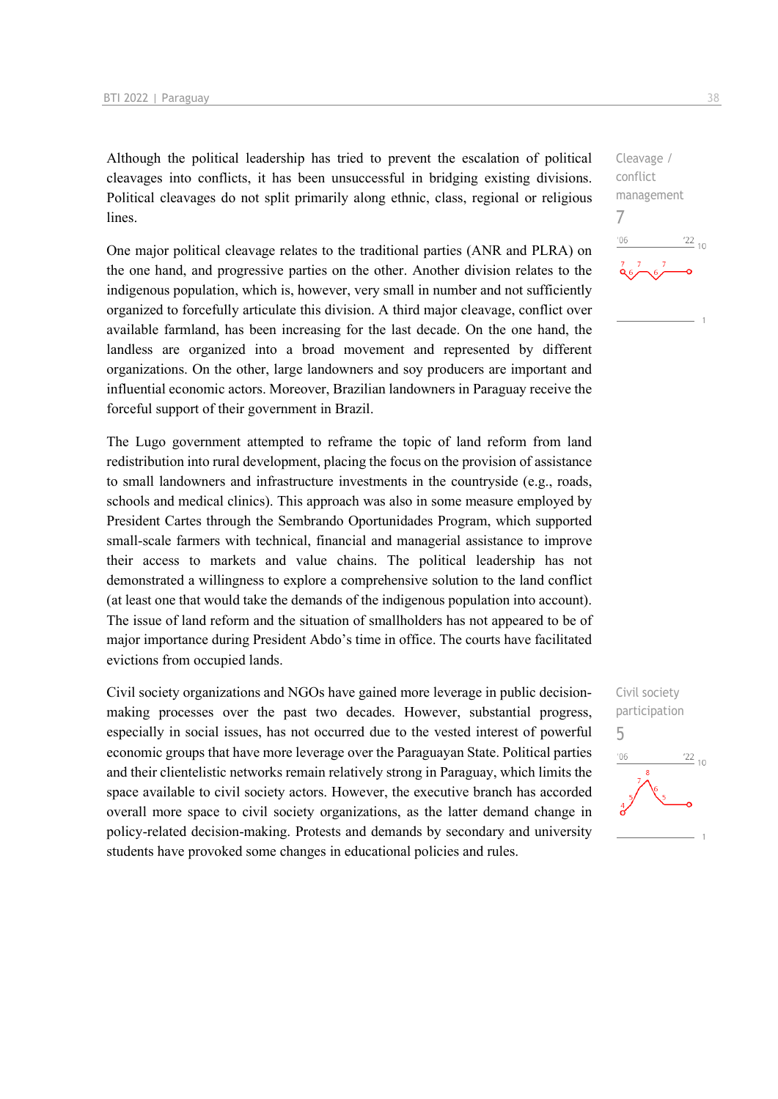Although the political leadership has tried to prevent the escalation of political cleavages into conflicts, it has been unsuccessful in bridging existing divisions. Political cleavages do not split primarily along ethnic, class, regional or religious lines.

One major political cleavage relates to the traditional parties (ANR and PLRA) on the one hand, and progressive parties on the other. Another division relates to the indigenous population, which is, however, very small in number and not sufficiently organized to forcefully articulate this division. A third major cleavage, conflict over available farmland, has been increasing for the last decade. On the one hand, the landless are organized into a broad movement and represented by different organizations. On the other, large landowners and soy producers are important and influential economic actors. Moreover, Brazilian landowners in Paraguay receive the forceful support of their government in Brazil.

The Lugo government attempted to reframe the topic of land reform from land redistribution into rural development, placing the focus on the provision of assistance to small landowners and infrastructure investments in the countryside (e.g., roads, schools and medical clinics). This approach was also in some measure employed by President Cartes through the Sembrando Oportunidades Program, which supported small-scale farmers with technical, financial and managerial assistance to improve their access to markets and value chains. The political leadership has not demonstrated a willingness to explore a comprehensive solution to the land conflict (at least one that would take the demands of the indigenous population into account). The issue of land reform and the situation of smallholders has not appeared to be of major importance during President Abdo's time in office. The courts have facilitated evictions from occupied lands.

Civil society organizations and NGOs have gained more leverage in public decisionmaking processes over the past two decades. However, substantial progress, especially in social issues, has not occurred due to the vested interest of powerful economic groups that have more leverage over the Paraguayan State. Political parties and their clientelistic networks remain relatively strong in Paraguay, which limits the space available to civil society actors. However, the executive branch has accorded overall more space to civil society organizations, as the latter demand change in policy-related decision-making. Protests and demands by secondary and university students have provoked some changes in educational policies and rules.

Cleavage / conflict management 7  $\frac{22}{10}$ 

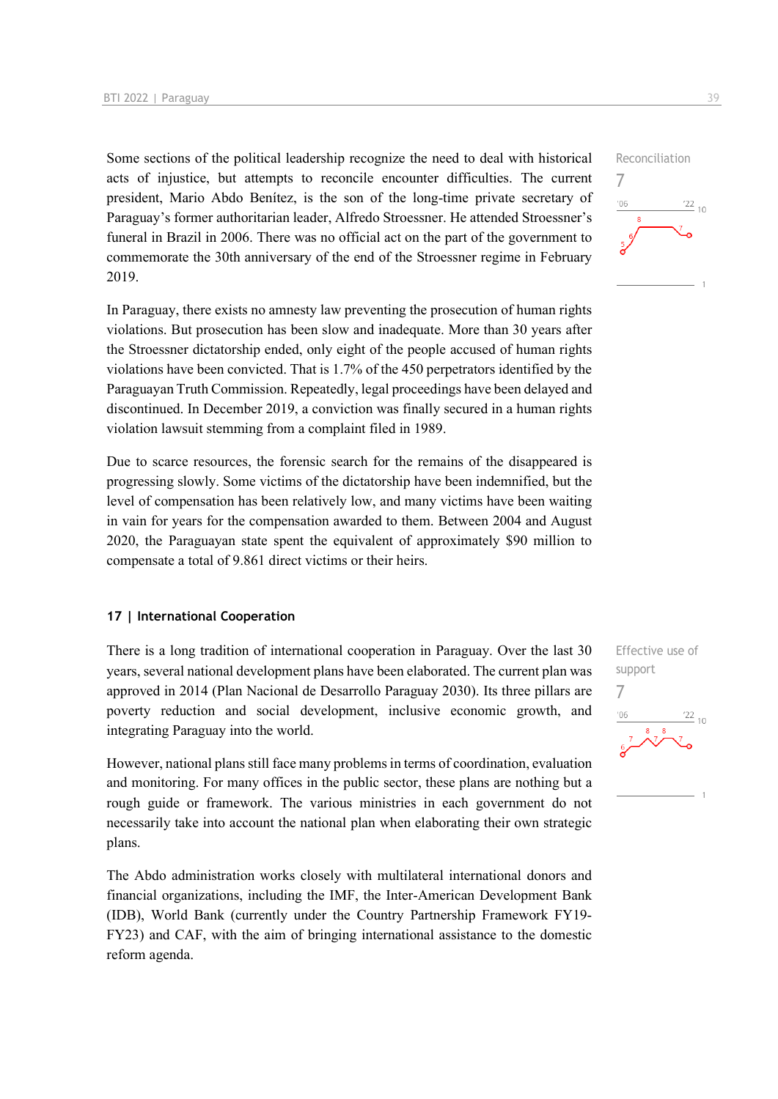Some sections of the political leadership recognize the need to deal with historical acts of injustice, but attempts to reconcile encounter difficulties. The current president, Mario Abdo Benítez, is the son of the long-time private secretary of Paraguay's former authoritarian leader, Alfredo Stroessner. He attended Stroessner's funeral in Brazil in 2006. There was no official act on the part of the government to commemorate the 30th anniversary of the end of the Stroessner regime in February 2019.

In Paraguay, there exists no amnesty law preventing the prosecution of human rights violations. But prosecution has been slow and inadequate. More than 30 years after the Stroessner dictatorship ended, only eight of the people accused of human rights violations have been convicted. That is 1.7% of the 450 perpetrators identified by the Paraguayan Truth Commission. Repeatedly, legal proceedings have been delayed and discontinued. In December 2019, a conviction was finally secured in a human rights violation lawsuit stemming from a complaint filed in 1989.

Due to scarce resources, the forensic search for the remains of the disappeared is progressing slowly. Some victims of the dictatorship have been indemnified, but the level of compensation has been relatively low, and many victims have been waiting in vain for years for the compensation awarded to them. Between 2004 and August 2020, the Paraguayan state spent the equivalent of approximately \$90 million to compensate a total of 9.861 direct victims or their heirs.

#### **17 | International Cooperation**

There is a long tradition of international cooperation in Paraguay. Over the last 30 years, several national development plans have been elaborated. The current plan was approved in 2014 (Plan Nacional de Desarrollo Paraguay 2030). Its three pillars are poverty reduction and social development, inclusive economic growth, and integrating Paraguay into the world.

However, national plans still face many problems in terms of coordination, evaluation and monitoring. For many offices in the public sector, these plans are nothing but a rough guide or framework. The various ministries in each government do not necessarily take into account the national plan when elaborating their own strategic plans.

The Abdo administration works closely with multilateral international donors and financial organizations, including the IMF, the Inter-American Development Bank (IDB), World Bank (currently under the Country Partnership Framework FY19- FY23) and CAF, with the aim of bringing international assistance to the domestic reform agenda.



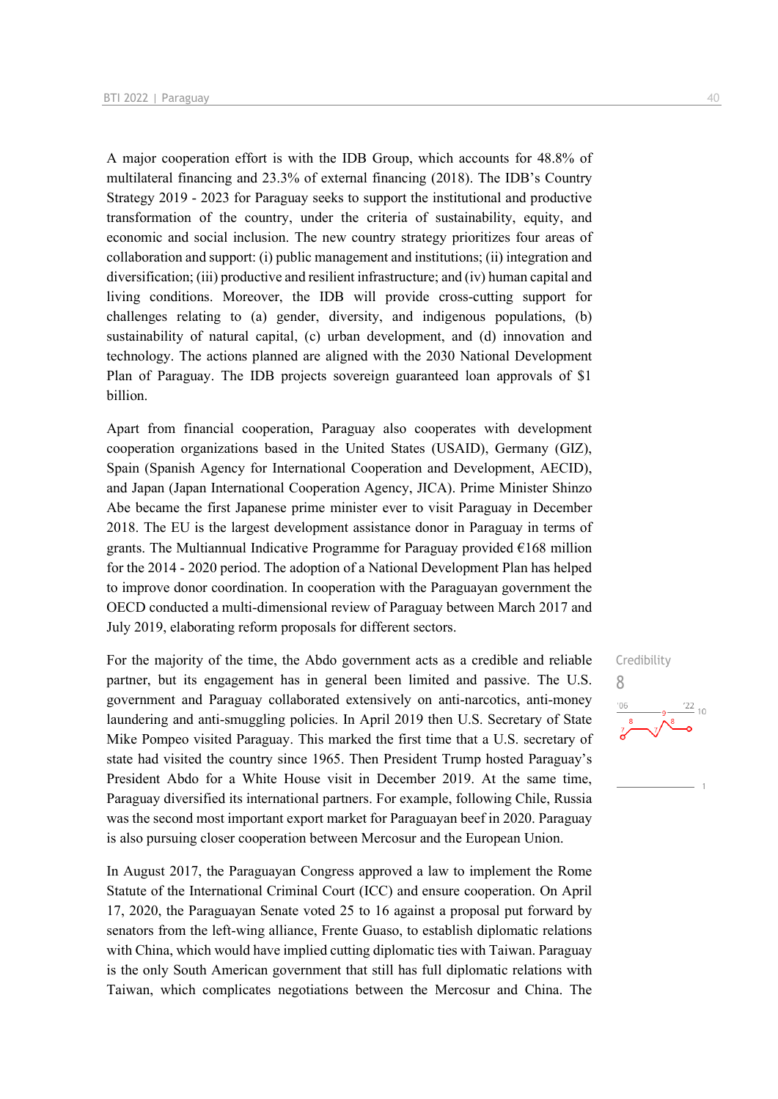A major cooperation effort is with the IDB Group, which accounts for 48.8% of multilateral financing and 23.3% of external financing (2018). The IDB's Country Strategy 2019 - 2023 for Paraguay seeks to support the institutional and productive transformation of the country, under the criteria of sustainability, equity, and economic and social inclusion. The new country strategy prioritizes four areas of collaboration and support: (i) public management and institutions; (ii) integration and diversification; (iii) productive and resilient infrastructure; and (iv) human capital and living conditions. Moreover, the IDB will provide cross-cutting support for challenges relating to (a) gender, diversity, and indigenous populations, (b) sustainability of natural capital, (c) urban development, and (d) innovation and technology. The actions planned are aligned with the 2030 National Development Plan of Paraguay. The IDB projects sovereign guaranteed loan approvals of \$1 billion.

Apart from financial cooperation, Paraguay also cooperates with development cooperation organizations based in the United States (USAID), Germany (GIZ), Spain (Spanish Agency for International Cooperation and Development, AECID), and Japan (Japan International Cooperation Agency, JICA). Prime Minister Shinzo Abe became the first Japanese prime minister ever to visit Paraguay in December 2018. The EU is the largest development assistance donor in Paraguay in terms of grants. The Multiannual Indicative Programme for Paraguay provided  $\epsilon$ 168 million for the 2014 - 2020 period. The adoption of a National Development Plan has helped to improve donor coordination. In cooperation with the Paraguayan government the OECD conducted a multi-dimensional review of Paraguay between March 2017 and July 2019, elaborating reform proposals for different sectors.

For the majority of the time, the Abdo government acts as a credible and reliable partner, but its engagement has in general been limited and passive. The U.S. government and Paraguay collaborated extensively on anti-narcotics, anti-money laundering and anti-smuggling policies. In April 2019 then U.S. Secretary of State Mike Pompeo visited Paraguay. This marked the first time that a U.S. secretary of state had visited the country since 1965. Then President Trump hosted Paraguay's President Abdo for a White House visit in December 2019. At the same time, Paraguay diversified its international partners. For example, following Chile, Russia was the second most important export market for Paraguayan beef in 2020. Paraguay is also pursuing closer cooperation between Mercosur and the European Union.

In August 2017, the Paraguayan Congress approved a law to implement the Rome Statute of the International Criminal Court (ICC) and ensure cooperation. On April 17, 2020, the Paraguayan Senate voted 25 to 16 against a proposal put forward by senators from the left-wing alliance, Frente Guaso, to establish diplomatic relations with China, which would have implied cutting diplomatic ties with Taiwan. Paraguay is the only South American government that still has full diplomatic relations with Taiwan, which complicates negotiations between the Mercosur and China. The

Credibility 8 $\frac{22}{10}$  $106$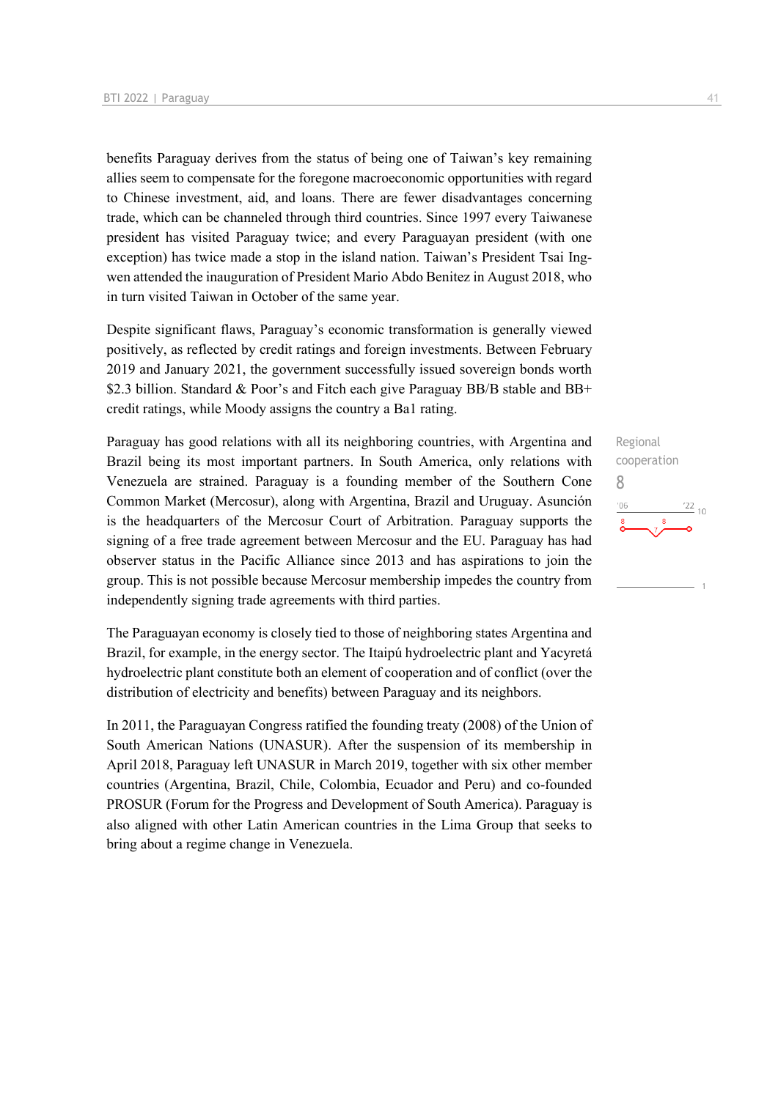benefits Paraguay derives from the status of being one of Taiwan's key remaining allies seem to compensate for the foregone macroeconomic opportunities with regard to Chinese investment, aid, and loans. There are fewer disadvantages concerning trade, which can be channeled through third countries. Since 1997 every Taiwanese president has visited Paraguay twice; and every Paraguayan president (with one exception) has twice made a stop in the island nation. Taiwan's President Tsai Ingwen attended the inauguration of President Mario Abdo Benitez in August 2018, who in turn visited Taiwan in October of the same year.

Despite significant flaws, Paraguay's economic transformation is generally viewed positively, as reflected by credit ratings and foreign investments. Between February 2019 and January 2021, the government successfully issued sovereign bonds worth \$2.3 billion. Standard & Poor's and Fitch each give Paraguay BB/B stable and BB+ credit ratings, while Moody assigns the country a Ba1 rating.

Paraguay has good relations with all its neighboring countries, with Argentina and Brazil being its most important partners. In South America, only relations with Venezuela are strained. Paraguay is a founding member of the Southern Cone Common Market (Mercosur), along with Argentina, Brazil and Uruguay. Asunción is the headquarters of the Mercosur Court of Arbitration. Paraguay supports the signing of a free trade agreement between Mercosur and the EU. Paraguay has had observer status in the Pacific Alliance since 2013 and has aspirations to join the group. This is not possible because Mercosur membership impedes the country from independently signing trade agreements with third parties.

The Paraguayan economy is closely tied to those of neighboring states Argentina and Brazil, for example, in the energy sector. The Itaipú hydroelectric plant and Yacyretá hydroelectric plant constitute both an element of cooperation and of conflict (over the distribution of electricity and benefits) between Paraguay and its neighbors.

In 2011, the Paraguayan Congress ratified the founding treaty (2008) of the Union of South American Nations (UNASUR). After the suspension of its membership in April 2018, Paraguay left UNASUR in March 2019, together with six other member countries (Argentina, Brazil, Chile, Colombia, Ecuador and Peru) and co-founded PROSUR (Forum for the Progress and Development of South America). Paraguay is also aligned with other Latin American countries in the Lima Group that seeks to bring about a regime change in Venezuela.

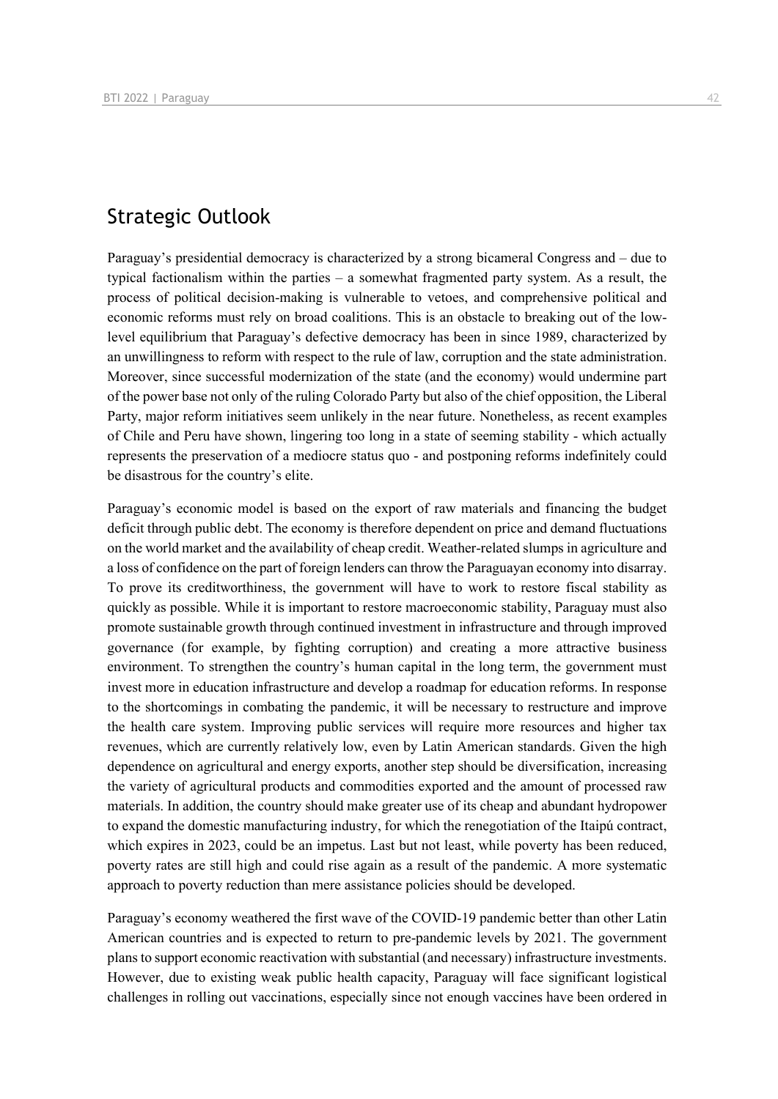### Strategic Outlook

Paraguay's presidential democracy is characterized by a strong bicameral Congress and – due to typical factionalism within the parties – a somewhat fragmented party system. As a result, the process of political decision-making is vulnerable to vetoes, and comprehensive political and economic reforms must rely on broad coalitions. This is an obstacle to breaking out of the lowlevel equilibrium that Paraguay's defective democracy has been in since 1989, characterized by an unwillingness to reform with respect to the rule of law, corruption and the state administration. Moreover, since successful modernization of the state (and the economy) would undermine part of the power base not only of the ruling Colorado Party but also of the chief opposition, the Liberal Party, major reform initiatives seem unlikely in the near future. Nonetheless, as recent examples of Chile and Peru have shown, lingering too long in a state of seeming stability - which actually represents the preservation of a mediocre status quo - and postponing reforms indefinitely could be disastrous for the country's elite.

Paraguay's economic model is based on the export of raw materials and financing the budget deficit through public debt. The economy is therefore dependent on price and demand fluctuations on the world market and the availability of cheap credit. Weather-related slumps in agriculture and a loss of confidence on the part of foreign lenders can throw the Paraguayan economy into disarray. To prove its creditworthiness, the government will have to work to restore fiscal stability as quickly as possible. While it is important to restore macroeconomic stability, Paraguay must also promote sustainable growth through continued investment in infrastructure and through improved governance (for example, by fighting corruption) and creating a more attractive business environment. To strengthen the country's human capital in the long term, the government must invest more in education infrastructure and develop a roadmap for education reforms. In response to the shortcomings in combating the pandemic, it will be necessary to restructure and improve the health care system. Improving public services will require more resources and higher tax revenues, which are currently relatively low, even by Latin American standards. Given the high dependence on agricultural and energy exports, another step should be diversification, increasing the variety of agricultural products and commodities exported and the amount of processed raw materials. In addition, the country should make greater use of its cheap and abundant hydropower to expand the domestic manufacturing industry, for which the renegotiation of the Itaipú contract, which expires in 2023, could be an impetus. Last but not least, while poverty has been reduced, poverty rates are still high and could rise again as a result of the pandemic. A more systematic approach to poverty reduction than mere assistance policies should be developed.

Paraguay's economy weathered the first wave of the COVID-19 pandemic better than other Latin American countries and is expected to return to pre-pandemic levels by 2021. The government plans to support economic reactivation with substantial (and necessary) infrastructure investments. However, due to existing weak public health capacity, Paraguay will face significant logistical challenges in rolling out vaccinations, especially since not enough vaccines have been ordered in